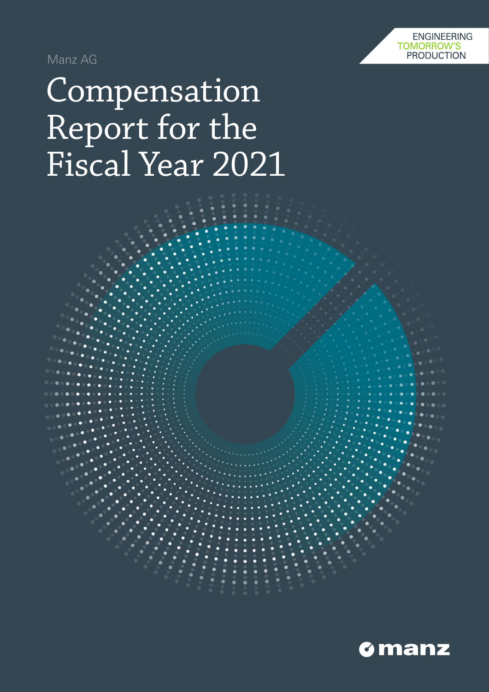

Manz AG

# Compensation Report for the Fiscal Year 2021

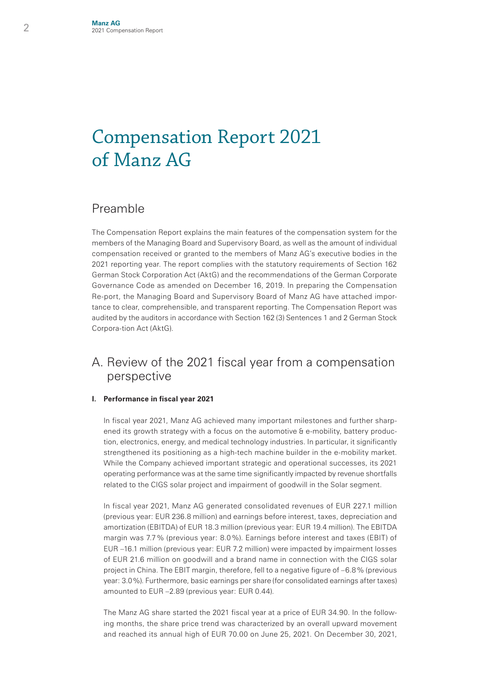## Compensation Report 2021 of Manz AG

### Preamble

The Compensation Report explains the main features of the compensation system for the members of the Managing Board and Supervisory Board, as well as the amount of individual compensation received or granted to the members of Manz AG's executive bodies in the 2021 reporting year. The report complies with the statutory requirements of Section 162 German Stock Corporation Act (AktG) and the recommendations of the German Corporate Governance Code as amended on December 16, 2019. In preparing the Compensation Re-port, the Managing Board and Supervisory Board of Manz AG have attached importance to clear, comprehensible, and transparent reporting. The Compensation Report was audited by the auditors in accordance with Section 162 (3) Sentences 1 and 2 German Stock Corpora-tion Act (AktG).

## A. Review of the 2021 fiscal year from a compensation perspective

#### **I. Performance in fiscal year 2021**

 In fiscal year 2021, Manz AG achieved many important milestones and further sharpened its growth strategy with a focus on the automotive & e-mobility, battery production, electronics, energy, and medical technology industries. In particular, it significantly strengthened its positioning as a high-tech machine builder in the e-mobility market. While the Company achieved important strategic and operational successes, its 2021 operating performance was at the same time significantly impacted by revenue shortfalls related to the CIGS solar project and impairment of goodwill in the Solar segment.

 In fiscal year 2021, Manz AG generated consolidated revenues of EUR 227.1 million (previous year: EUR 236.8 million) and earnings before interest, taxes, depreciation and amortization (EBITDA) of EUR 18.3 million (previous year: EUR 19.4 million). The EBITDA margin was 7.7% (previous year: 8.0%). Earnings before interest and taxes (EBIT) of EUR –16.1 million (previous year: EUR 7.2 million) were impacted by impairment losses of EUR 21.6 million on goodwill and a brand name in connection with the CIGS solar project in China. The EBIT margin, therefore, fell to a negative figure of –6.8% (previous year: 3.0%). Furthermore, basic earnings per share (for consolidated earnings after taxes) amounted to EUR –2.89 (previous year: EUR 0.44).

 The Manz AG share started the 2021 fiscal year at a price of EUR 34.90. In the following months, the share price trend was characterized by an overall upward movement and reached its annual high of EUR 70.00 on June 25, 2021. On December 30, 2021,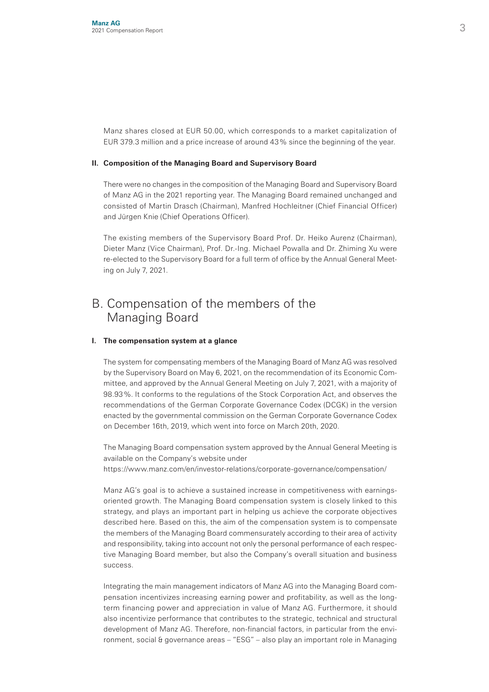Manz shares closed at EUR 50.00, which corresponds to a market capitalization of EUR 379.3 million and a price increase of around 43% since the beginning of the year.

#### **II. Composition of the Managing Board and Supervisory Board**

 There were no changes in the composition of the Managing Board and Supervisory Board of Manz AG in the 2021 reporting year. The Managing Board remained unchanged and consisted of Martin Drasch (Chairman), Manfred Hochleitner (Chief Financial Officer) and Jürgen Knie (Chief Operations Officer).

 The existing members of the Supervisory Board Prof. Dr. Heiko Aurenz (Chairman), Dieter Manz (Vice Chairman), Prof. Dr.-Ing. Michael Powalla and Dr. Zhiming Xu were re-elected to the Supervisory Board for a full term of office by the Annual General Meeting on July 7, 2021.

## B. Compensation of the members of the Managing Board

#### **I. The compensation system at a glance**

 The system for compensating members of the Managing Board of Manz AG was resolved by the Supervisory Board on May 6, 2021, on the recommendation of its Economic Committee, and approved by the Annual General Meeting on July 7, 2021, with a majority of 98.93%. It conforms to the regulations of the Stock Corporation Act, and observes the recommendations of the German Corporate Governance Codex (DCGK) in the version enacted by the governmental commission on the German Corporate Governance Codex on December 16th, 2019, which went into force on March 20th, 2020.

 The Managing Board compensation system approved by the Annual General Meeting is available on the Company's website under https://www.manz.com/en/investor-relations/corporate-governance/compensation/

 Manz AG's goal is to achieve a sustained increase in competitiveness with earningsoriented growth. The Managing Board compensation system is closely linked to this strategy, and plays an important part in helping us achieve the corporate objectives described here. Based on this, the aim of the compensation system is to compensate the members of the Managing Board commensurately according to their area of activity and responsibility, taking into account not only the personal performance of each respective Managing Board member, but also the Company's overall situation and business success.

 Integrating the main management indicators of Manz AG into the Managing Board compensation incentivizes increasing earning power and profitability, as well as the longterm financing power and appreciation in value of Manz AG. Furthermore, it should also incentivize performance that contributes to the strategic, technical and structural development of Manz AG. Therefore, non-financial factors, in particular from the environment, social & governance areas – "ESG" – also play an important role in Managing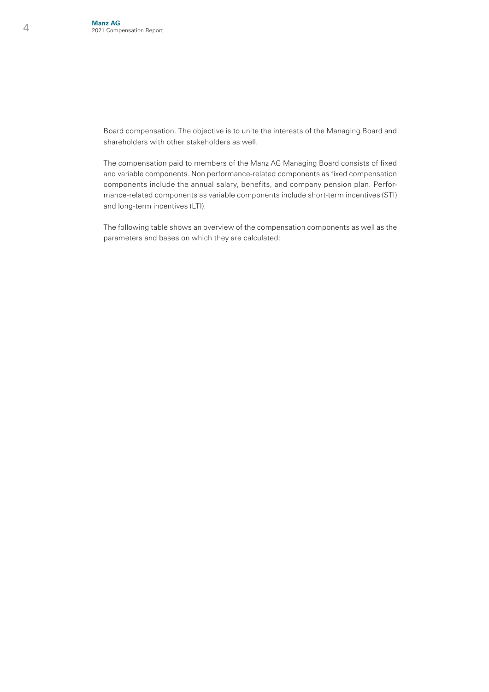Board compensation. The objective is to unite the interests of the Managing Board and shareholders with other stakeholders as well.

 The compensation paid to members of the Manz AG Managing Board consists of fixed and variable components. Non performance-related components as fixed compensation components include the annual salary, benefits, and company pension plan. Performance-related components as variable components include short-term incentives (STI) and long-term incentives (LTI).

 The following table shows an overview of the compensation components as well as the parameters and bases on which they are calculated: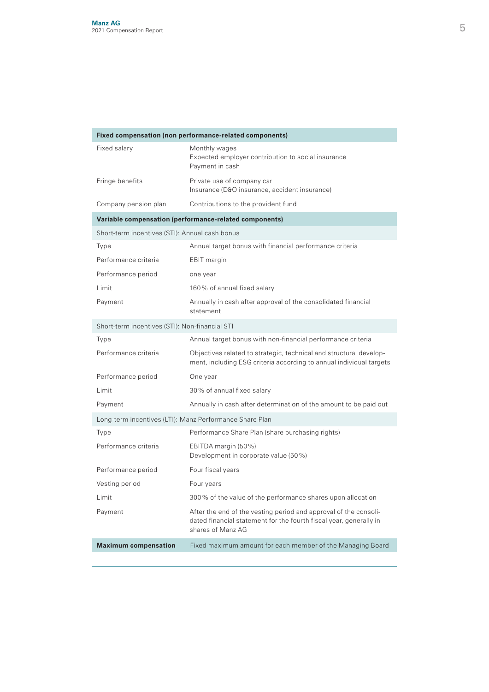| Fixed compensation (non performance-related components) |                                                                                                                                                             |  |  |  |  |
|---------------------------------------------------------|-------------------------------------------------------------------------------------------------------------------------------------------------------------|--|--|--|--|
| Fixed salary                                            | Monthly wages<br>Expected employer contribution to social insurance<br>Payment in cash                                                                      |  |  |  |  |
| Fringe benefits                                         | Private use of company car<br>Insurance (D&O insurance, accident insurance)                                                                                 |  |  |  |  |
| Company pension plan                                    | Contributions to the provident fund                                                                                                                         |  |  |  |  |
|                                                         | Variable compensation (performance-related components)                                                                                                      |  |  |  |  |
| Short-term incentives (STI): Annual cash bonus          |                                                                                                                                                             |  |  |  |  |
| Type                                                    | Annual target bonus with financial performance criteria                                                                                                     |  |  |  |  |
| Performance criteria                                    | EBIT margin                                                                                                                                                 |  |  |  |  |
| Performance period                                      | one year                                                                                                                                                    |  |  |  |  |
| Limit                                                   | 160% of annual fixed salary                                                                                                                                 |  |  |  |  |
| Payment                                                 | Annually in cash after approval of the consolidated financial<br>statement                                                                                  |  |  |  |  |
| Short-term incentives (STI): Non-financial STI          |                                                                                                                                                             |  |  |  |  |
| Type                                                    | Annual target bonus with non-financial performance criteria                                                                                                 |  |  |  |  |
| Performance criteria                                    | Objectives related to strategic, technical and structural develop-<br>ment, including ESG criteria according to annual individual targets                   |  |  |  |  |
| Performance period                                      | One year                                                                                                                                                    |  |  |  |  |
| Limit                                                   | 30% of annual fixed salary                                                                                                                                  |  |  |  |  |
| Payment                                                 | Annually in cash after determination of the amount to be paid out                                                                                           |  |  |  |  |
| Long-term incentives (LTI): Manz Performance Share Plan |                                                                                                                                                             |  |  |  |  |
| Type                                                    | Performance Share Plan (share purchasing rights)                                                                                                            |  |  |  |  |
| Performance criteria                                    | EBITDA margin (50%)<br>Development in corporate value (50%)                                                                                                 |  |  |  |  |
| Performance period                                      | Four fiscal years                                                                                                                                           |  |  |  |  |
| Vesting period                                          | Four years                                                                                                                                                  |  |  |  |  |
| Limit                                                   | 300% of the value of the performance shares upon allocation                                                                                                 |  |  |  |  |
| Payment                                                 | After the end of the vesting period and approval of the consoli-<br>dated financial statement for the fourth fiscal year, generally in<br>shares of Manz AG |  |  |  |  |
| <b>Maximum compensation</b>                             | Fixed maximum amount for each member of the Managing Board                                                                                                  |  |  |  |  |
|                                                         |                                                                                                                                                             |  |  |  |  |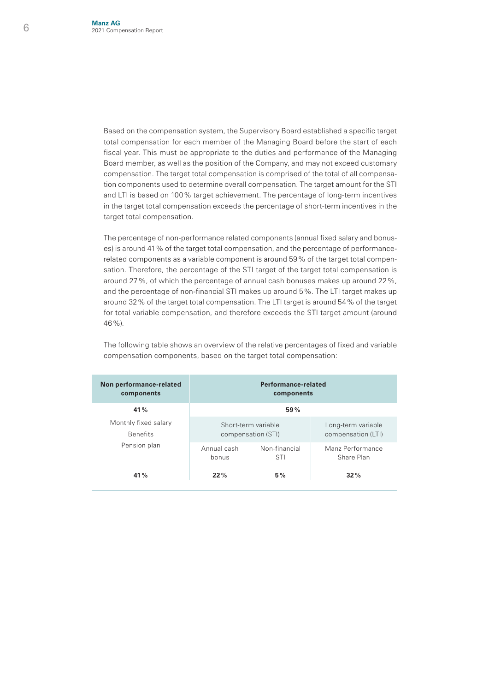Based on the compensation system, the Supervisory Board established a specific target total compensation for each member of the Managing Board before the start of each fiscal year. This must be appropriate to the duties and performance of the Managing Board member, as well as the position of the Company, and may not exceed customary compensation. The target total compensation is comprised of the total of all compensation components used to determine overall compensation. The target amount for the STI and LTI is based on 100% target achievement. The percentage of long-term incentives in the target total compensation exceeds the percentage of short-term incentives in the target total compensation.

 The percentage of non-performance related components (annual fixed salary and bonuses) is around 41% of the target total compensation, and the percentage of performancerelated components as a variable component is around 59% of the target total compensation. Therefore, the percentage of the STI target of the target total compensation is around 27%, of which the percentage of annual cash bonuses makes up around 22%, and the percentage of non-financial STI makes up around 5%. The LTI target makes up around 32% of the target total compensation. The LTI target is around 54% of the target for total variable compensation, and therefore exceeds the STI target amount (around 46%).

**Non performance-related components Performance-related components 41% 59%** Monthly fixed salary Benefits Pension plan Short-term variable compensation (STI) Long-term variable compensation (LTI) Annual cash bonus Non-financial STI Manz Performance Share Plan **41% 22% 5% 32%**

 The following table shows an overview of the relative percentages of fixed and variable compensation components, based on the target total compensation: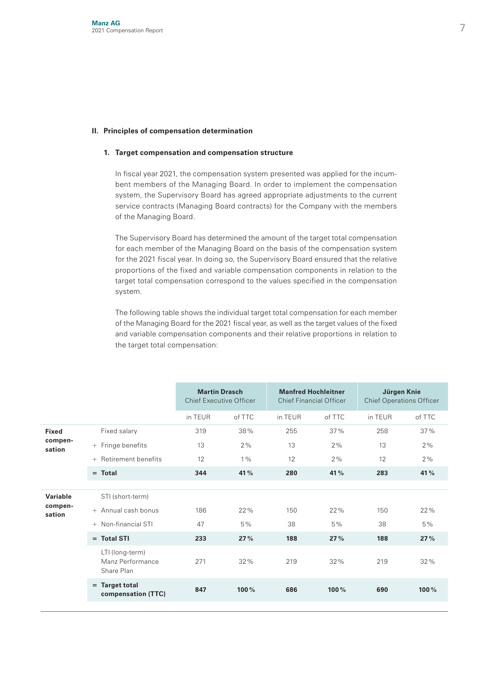#### **II. Principles of compensation determination**

#### **1. Target compensation and compensation structure**

 In fiscal year 2021, the compensation system presented was applied for the incumbent members of the Managing Board. In order to implement the compensation system, the Supervisory Board has agreed appropriate adjustments to the current service contracts (Managing Board contracts) for the Company with the members of the Managing Board.

 The Supervisory Board has determined the amount of the target total compensation for each member of the Managing Board on the basis of the compensation system for the 2021 fiscal year. In doing so, the Supervisory Board ensured that the relative proportions of the fixed and variable compensation components in relation to the target total compensation correspond to the values specified in the compensation system.

 The following table shows the individual target total compensation for each member of the Managing Board for the 2021 fiscal year, as well as the target values of the fixed and variable compensation components and their relative proportions in relation to the target total compensation:

|                   |                                                   |         | <b>Martin Drasch</b><br><b>Chief Executive Officer</b> |         | <b>Manfred Hochleitner</b><br><b>Chief Financial Officer</b> |         | Jürgen Knie<br><b>Chief Operations Officer</b> |  |
|-------------------|---------------------------------------------------|---------|--------------------------------------------------------|---------|--------------------------------------------------------------|---------|------------------------------------------------|--|
|                   |                                                   | in TEUR | of TTC                                                 | in TEUR | of TTC                                                       | in TEUR | of TTC                                         |  |
| <b>Fixed</b>      | Fixed salary                                      | 319     | 38%                                                    | 255     | 37%                                                          | 258     | 37%                                            |  |
| compen-<br>sation | + Fringe benefits                                 | 13      | 2%                                                     | 13      | 2%                                                           | 13      | 2%                                             |  |
|                   | Retirement benefits<br>$+$                        | 12      | $1\%$                                                  | 12      | 2%                                                           | 12      | 2%                                             |  |
|                   | $=$ Total                                         | 344     | 41%                                                    | 280     | 41%                                                          | 283     | 41%                                            |  |
|                   |                                                   |         |                                                        |         |                                                              |         |                                                |  |
| Variable          | STI (short-term)                                  |         |                                                        |         |                                                              |         |                                                |  |
| compen-<br>sation | + Annual cash bonus                               | 186     | 22%                                                    | 150     | 22%                                                          | 150     | 22%                                            |  |
|                   | + Non-financial STI                               | 47      | 5%                                                     | 38      | 5%                                                           | 38      | 5%                                             |  |
|                   | $=$ Total STI                                     | 233     | 27%                                                    | 188     | 27%                                                          | 188     | 27%                                            |  |
|                   | LTI (long-term)<br>Manz Performance<br>Share Plan | 271     | 32%                                                    | 219     | 32%                                                          | 219     | 32%                                            |  |
|                   | $=$ Target total<br>compensation (TTC)            | 847     | 100%                                                   | 686     | 100%                                                         | 690     | 100%                                           |  |
|                   |                                                   |         |                                                        |         |                                                              |         |                                                |  |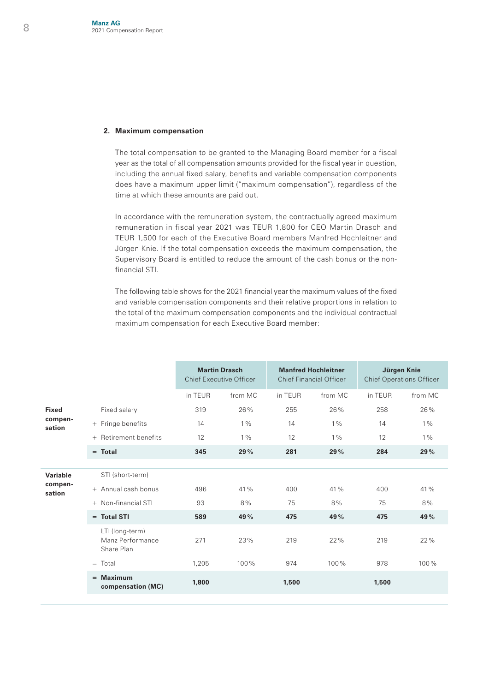#### **2. Maximum compensation**

 The total compensation to be granted to the Managing Board member for a fiscal year as the total of all compensation amounts provided for the fiscal year in question, including the annual fixed salary, benefits and variable compensation components does have a maximum upper limit ("maximum compensation"), regardless of the time at which these amounts are paid out.

 In accordance with the remuneration system, the contractually agreed maximum remuneration in fiscal year 2021 was TEUR 1,800 for CEO Martin Drasch and TEUR 1,500 for each of the Executive Board members Manfred Hochleitner and Jürgen Knie. If the total compensation exceeds the maximum compensation, the Supervisory Board is entitled to reduce the amount of the cash bonus or the nonfinancial STI.

 The following table shows for the 2021 financial year the maximum values of the fixed and variable compensation components and their relative proportions in relation to the total of the maximum compensation components and the individual contractual maximum compensation for each Executive Board member:

|                               |                                                   |         | <b>Martin Drasch</b><br><b>Chief Executive Officer</b> |         | <b>Manfred Hochleitner</b><br><b>Chief Financial Officer</b> | Jürgen Knie<br><b>Chief Operations Officer</b> |         |
|-------------------------------|---------------------------------------------------|---------|--------------------------------------------------------|---------|--------------------------------------------------------------|------------------------------------------------|---------|
|                               |                                                   | in TEUR | from MC                                                | in TEUR | from MC                                                      | in TEUR                                        | from MC |
| <b>Fixed</b>                  | Fixed salary                                      | 319     | 26%                                                    | 255     | 26%                                                          | 258                                            | 26%     |
| compen-<br>sation             | + Fringe benefits                                 | 14      | $1\%$                                                  | 14      | $1\%$                                                        | 14                                             | $1\%$   |
|                               | + Retirement benefits                             | 12      | $1\%$                                                  | 12      | $1\%$                                                        | 12                                             | $1\%$   |
|                               | $=$ Total                                         | 345     | 29%                                                    | 281     | 29%                                                          | 284                                            | 29%     |
|                               |                                                   |         |                                                        |         |                                                              |                                                |         |
| Variable<br>compen-<br>sation | STI (short-term)                                  |         |                                                        |         |                                                              |                                                |         |
|                               | + Annual cash bonus                               | 496     | 41%                                                    | 400     | 41%                                                          | 400                                            | 41 %    |
|                               | + Non-financial STI                               | 93      | 8%                                                     | 75      | 8%                                                           | 75                                             | 8%      |
|                               | $=$ Total STI                                     | 589     | 49%                                                    | 475     | 49%                                                          | 475                                            | 49%     |
|                               | LTI (long-term)<br>Manz Performance<br>Share Plan | 271     | 23%                                                    | 219     | 22%                                                          | 219                                            | 22%     |
|                               | $=$ Total                                         | 1.205   | 100%                                                   | 974     | 100%                                                         | 978                                            | 100%    |
|                               | $=$ Maximum<br>compensation (MC)                  | 1,800   |                                                        | 1,500   |                                                              | 1,500                                          |         |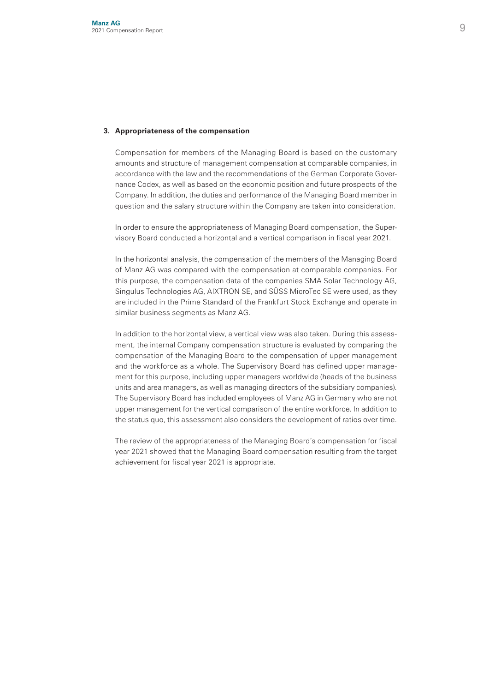#### **3. Appropriateness of the compensation**

 Compensation for members of the Managing Board is based on the customary amounts and structure of management compensation at comparable companies, in accordance with the law and the recommendations of the German Corporate Governance Codex, as well as based on the economic position and future prospects of the Company. In addition, the duties and performance of the Managing Board member in question and the salary structure within the Company are taken into consideration.

 In order to ensure the appropriateness of Managing Board compensation, the Supervisory Board conducted a horizontal and a vertical comparison in fiscal year 2021.

 In the horizontal analysis, the compensation of the members of the Managing Board of Manz AG was compared with the compensation at comparable companies. For this purpose, the compensation data of the companies SMA Solar Technology AG, Singulus Technologies AG, AIXTRON SE, and SÜSS MicroTec SE were used, as they are included in the Prime Standard of the Frankfurt Stock Exchange and operate in similar business segments as Manz AG.

 In addition to the horizontal view, a vertical view was also taken. During this assessment, the internal Company compensation structure is evaluated by comparing the compensation of the Managing Board to the compensation of upper management and the workforce as a whole. The Supervisory Board has defined upper management for this purpose, including upper managers worldwide (heads of the business units and area managers, as well as managing directors of the subsidiary companies). The Supervisory Board has included employees of Manz AG in Germany who are not upper management for the vertical comparison of the entire workforce. In addition to the status quo, this assessment also considers the development of ratios over time.

 The review of the appropriateness of the Managing Board's compensation for fiscal year 2021 showed that the Managing Board compensation resulting from the target achievement for fiscal year 2021 is appropriate.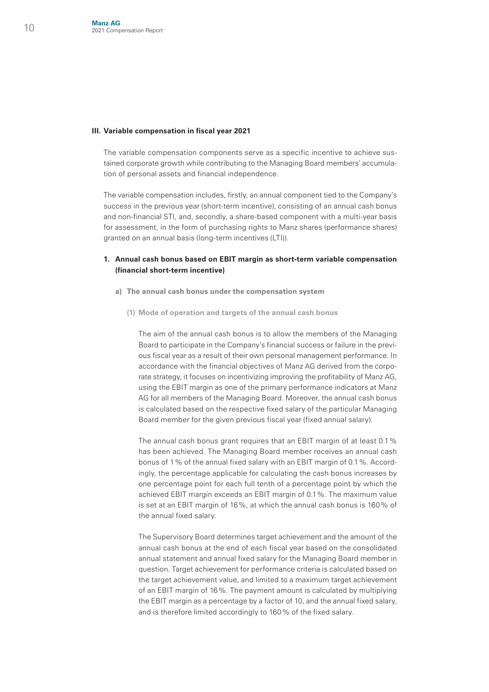#### **III. Variable compensation in fiscal year 2021**

 The variable compensation components serve as a specific incentive to achieve sustained corporate growth while contributing to the Managing Board members' accumulation of personal assets and financial independence.

 The variable compensation includes, firstly, an annual component tied to the Company's success in the previous year (short-term incentive), consisting of an annual cash bonus and non-financial STI, and, secondly, a share-based component with a multi-year basis for assessment, in the form of purchasing rights to Manz shares (performance shares) granted on an annual basis (long-term incentives (LTI)).

#### **1. Annual cash bonus based on EBIT margin as short-term variable compensation (financial short-term incentive)**

- **a) The annual cash bonus under the compensation system**
	- **(1) Mode of operation and targets of the annual cash bonus**

 The aim of the annual cash bonus is to allow the members of the Managing Board to participate in the Company's financial success or failure in the previous fiscal year as a result of their own personal management performance. In accordance with the financial objectives of Manz AG derived from the corporate strategy, it focuses on incentivizing improving the profitability of Manz AG, using the EBIT margin as one of the primary performance indicators at Manz AG for all members of the Managing Board. Moreover, the annual cash bonus is calculated based on the respective fixed salary of the particular Managing Board member for the given previous fiscal year (fixed annual salary).

 The annual cash bonus grant requires that an EBIT margin of at least 0.1% has been achieved. The Managing Board member receives an annual cash bonus of 1% of the annual fixed salary with an EBIT margin of 0.1%. Accordingly, the percentage applicable for calculating the cash bonus increases by one percentage point for each full tenth of a percentage point by which the achieved EBIT margin exceeds an EBIT margin of 0.1%. The maximum value is set at an EBIT margin of 16%, at which the annual cash bonus is 160% of the annual fixed salary.

 The Supervisory Board determines target achievement and the amount of the annual cash bonus at the end of each fiscal year based on the consolidated annual statement and annual fixed salary for the Managing Board member in question. Target achievement for performance criteria is calculated based on the target achievement value, and limited to a maximum target achievement of an EBIT margin of 16%. The payment amount is calculated by multiplying the EBIT margin as a percentage by a factor of 10, and the annual fixed salary, and is therefore limited accordingly to 160% of the fixed salary.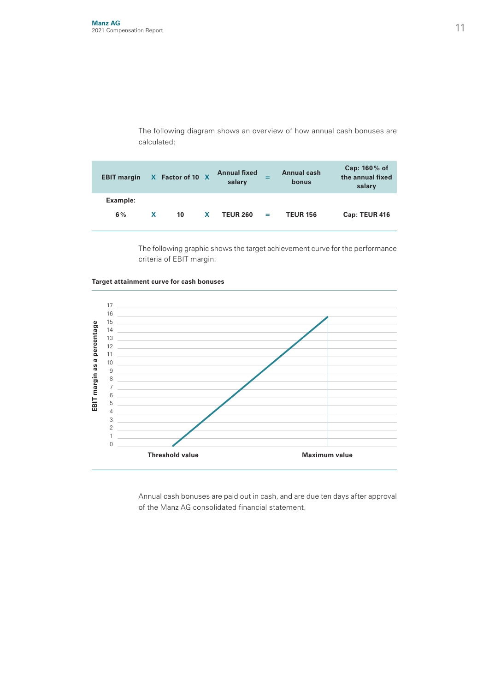The following diagram shows an overview of how annual cash bonuses are calculated:

| <b>EBIT</b> margin |   | X Factor of 10 X |    | <b>Annual fixed</b><br>salary |     | Annual cash<br>bonus | Cap: 160% of<br>the annual fixed<br>salary |
|--------------------|---|------------------|----|-------------------------------|-----|----------------------|--------------------------------------------|
| Example:<br>6%     | X | 10               | X. | <b>TEUR 260</b>               | $=$ | <b>TEUR 156</b>      | Cap: TEUR 416                              |

 The following graphic shows the target achievement curve for the performance criteria of EBIT margin:



**Target attainment curve for cash bonuses**

 Annual cash bonuses are paid out in cash, and are due ten days after approval of the Manz AG consolidated financial statement.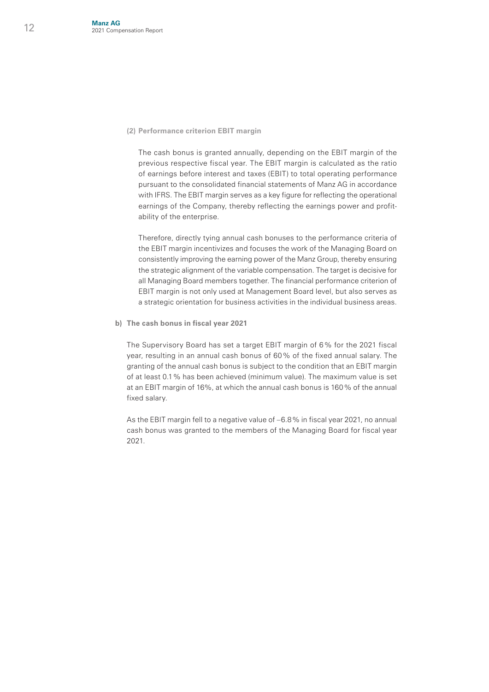#### **(2) Performance criterion EBIT margin**

 The cash bonus is granted annually, depending on the EBIT margin of the previous respective fiscal year. The EBIT margin is calculated as the ratio of earnings before interest and taxes (EBIT) to total operating performance pursuant to the consolidated financial statements of Manz AG in accordance with IFRS. The EBIT margin serves as a key figure for reflecting the operational earnings of the Company, thereby reflecting the earnings power and profitability of the enterprise.

 Therefore, directly tying annual cash bonuses to the performance criteria of the EBIT margin incentivizes and focuses the work of the Managing Board on consistently improving the earning power of the Manz Group, thereby ensuring the strategic alignment of the variable compensation. The target is decisive for all Managing Board members together. The financial performance criterion of EBIT margin is not only used at Management Board level, but also serves as a strategic orientation for business activities in the individual business areas.

 **b) The cash bonus in fiscal year 2021**

 The Supervisory Board has set a target EBIT margin of 6% for the 2021 fiscal year, resulting in an annual cash bonus of 60% of the fixed annual salary. The granting of the annual cash bonus is subject to the condition that an EBIT margin of at least 0.1% has been achieved (minimum value). The maximum value is set at an EBIT margin of 16%, at which the annual cash bonus is 160% of the annual fixed salary.

 As the EBIT margin fell to a negative value of –6.8% in fiscal year 2021, no annual cash bonus was granted to the members of the Managing Board for fiscal year 2021.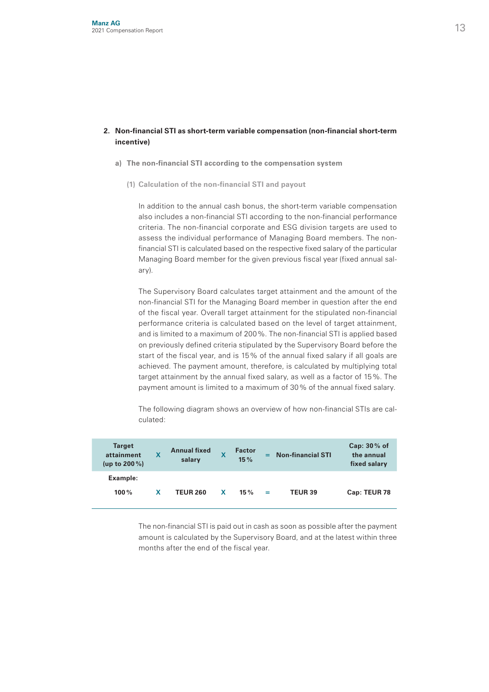#### **2. Non-financial STI as short-term variable compensation (non-financial short-term incentive)**

- **a) The non-financial STI according to the compensation system**
	- **(1) Calculation of the non-financial STI and payout**

 In addition to the annual cash bonus, the short-term variable compensation also includes a non-financial STI according to the non-financial performance criteria. The non-financial corporate and ESG division targets are used to assess the individual performance of Managing Board members. The nonfinancial STI is calculated based on the respective fixed salary of the particular Managing Board member for the given previous fiscal year (fixed annual salary).

 The Supervisory Board calculates target attainment and the amount of the non-financial STI for the Managing Board member in question after the end of the fiscal year. Overall target attainment for the stipulated non-financial performance criteria is calculated based on the level of target attainment, and is limited to a maximum of 200%. The non-financial STI is applied based on previously defined criteria stipulated by the Supervisory Board before the start of the fiscal year, and is 15% of the annual fixed salary if all goals are achieved. The payment amount, therefore, is calculated by multiplying total target attainment by the annual fixed salary, as well as a factor of 15%. The payment amount is limited to a maximum of 30% of the annual fixed salary.

 The following diagram shows an overview of how non-financial STIs are calculated:

| <b>Target</b><br>attainment<br>(up to $200\%$ ) | x | <b>Annual fixed</b><br>salary |   | <b>Factor</b><br>15% | =   | <b>Non-financial STI</b> | Cap: 30% of<br>the annual<br>fixed salary |
|-------------------------------------------------|---|-------------------------------|---|----------------------|-----|--------------------------|-------------------------------------------|
| Example:<br>100%                                | x | <b>TEUR 260</b>               | X | $15 \%$              | $=$ | <b>TEUR 39</b>           | Cap: TEUR 78                              |

 The non-financial STI is paid out in cash as soon as possible after the payment amount is calculated by the Supervisory Board, and at the latest within three months after the end of the fiscal year.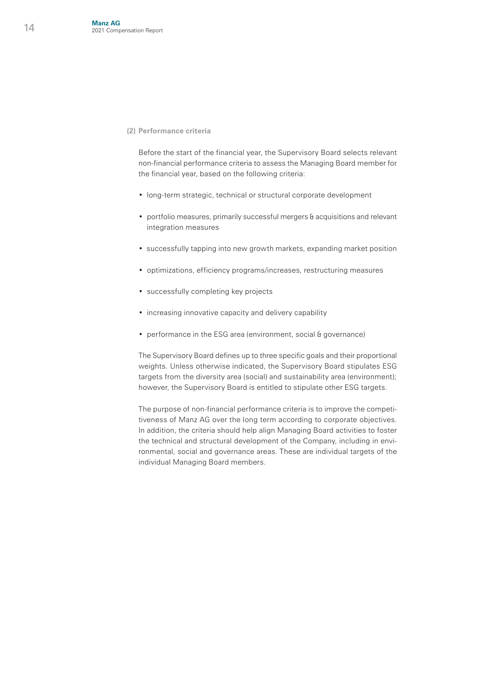#### **(2) Performance criteria**

 Before the start of the financial year, the Supervisory Board selects relevant non-financial performance criteria to assess the Managing Board member for the financial year, based on the following criteria:

- long-term strategic, technical or structural corporate development
- portfolio measures, primarily successful mergers & acquisitions and relevant integration measures
- successfully tapping into new growth markets, expanding market position
- optimizations, efficiency programs/increases, restructuring measures
- successfully completing key projects
- increasing innovative capacity and delivery capability
- performance in the ESG area (environment, social & governance)

 The Supervisory Board defines up to three specific goals and their proportional weights. Unless otherwise indicated, the Supervisory Board stipulates ESG targets from the diversity area (social) and sustainability area (environment); however, the Supervisory Board is entitled to stipulate other ESG targets.

 The purpose of non-financial performance criteria is to improve the competitiveness of Manz AG over the long term according to corporate objectives. In addition, the criteria should help align Managing Board activities to foster the technical and structural development of the Company, including in environmental, social and governance areas. These are individual targets of the individual Managing Board members.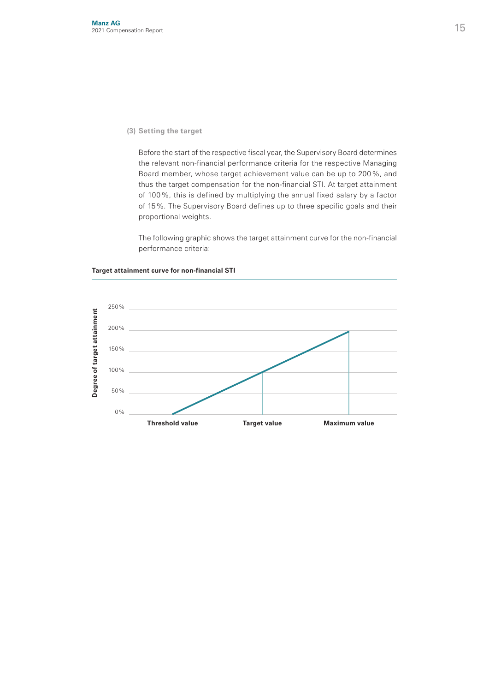#### **(3) Setting the target**

 Before the start of the respective fiscal year, the Supervisory Board determines the relevant non-financial performance criteria for the respective Managing Board member, whose target achievement value can be up to 200%, and thus the target compensation for the non-financial STI. At target attainment of 100%, this is defined by multiplying the annual fixed salary by a factor of 15%. The Supervisory Board defines up to three specific goals and their proportional weights.

 The following graphic shows the target attainment curve for the non-financial performance criteria:



#### **Target attainment curve for non-financial STI**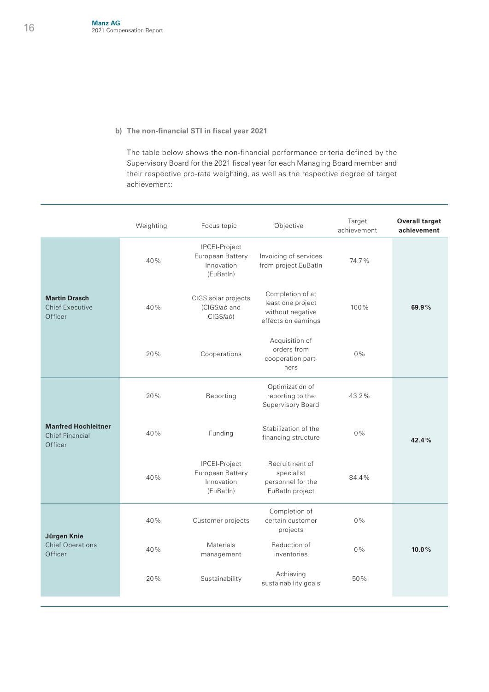#### **b) The non-financial STI in fiscal year 2021**

 The table below shows the non-financial performance criteria defined by the Supervisory Board for the 2021 fiscal year for each Managing Board member and their respective pro-rata weighting, as well as the respective degree of target achievement:

|                                                                 | Weighting | Focus topic                                                  | Objective                                                                        | Target<br>achievement | <b>Overall target</b><br>achievement |
|-----------------------------------------------------------------|-----------|--------------------------------------------------------------|----------------------------------------------------------------------------------|-----------------------|--------------------------------------|
|                                                                 | 40%       | IPCEI-Project<br>European Battery<br>Innovation<br>(EuBatIn) | Invoicing of services<br>from project EuBatIn                                    | 74.7%                 |                                      |
| <b>Martin Drasch</b><br><b>Chief Executive</b><br>Officer       | 40%       | CIGS solar projects<br>(CIGS/ab and<br>CIGSfab)              | Completion of at<br>least one project<br>without negative<br>effects on earnings | 100%                  | 69.9%                                |
|                                                                 | 20%       | Cooperations                                                 | Acquisition of<br>orders from<br>cooperation part-<br>ners                       | $0\%$                 |                                      |
| <b>Manfred Hochleitner</b><br><b>Chief Financial</b><br>Officer | 20%       | Reporting                                                    | Optimization of<br>reporting to the<br>Supervisory Board                         | 43.2%                 |                                      |
|                                                                 | 40%       | Funding                                                      | Stabilization of the<br>financing structure                                      | $0\%$                 | 42.4%                                |
|                                                                 | 40%       | IPCEI-Project<br>European Battery<br>Innovation<br>(EuBatln) | Recruitment of<br>specialist<br>personnel for the<br>EuBatIn project             | 84.4%                 |                                      |
| Jürgen Knie<br><b>Chief Operations</b><br>Officer               | 40%       | Customer projects                                            | Completion of<br>certain customer<br>projects                                    | $0\%$                 |                                      |
|                                                                 | 40%       | <b>Materials</b><br>management                               | Reduction of<br>inventories                                                      | $0\%$                 | 10.0%                                |
|                                                                 | 20%       | Sustainability                                               | Achieving<br>sustainability goals                                                | 50%                   |                                      |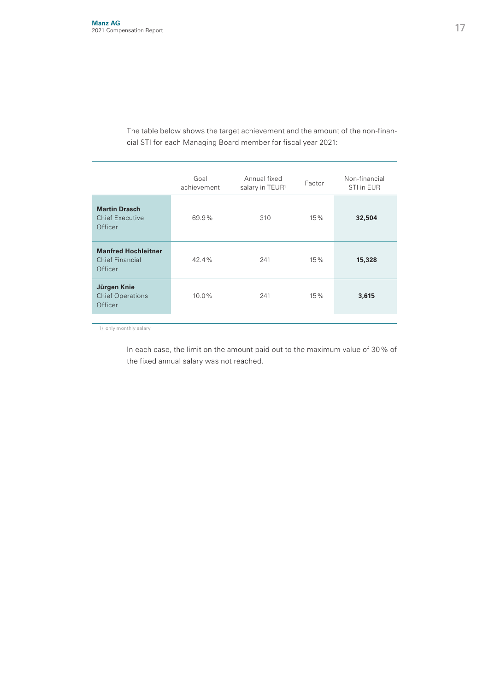The table below shows the target achievement and the amount of the non-financial STI for each Managing Board member for fiscal year 2021:

|                                                                 | Goal<br>achievement | Annual fixed<br>salary in TEUR <sup>1</sup> | Factor | Non-financial<br>STI in EUR |
|-----------------------------------------------------------------|---------------------|---------------------------------------------|--------|-----------------------------|
| <b>Martin Drasch</b><br><b>Chief Executive</b><br>Officer       | 69.9%               | 310                                         | 15%    | 32,504                      |
| <b>Manfred Hochleitner</b><br><b>Chief Financial</b><br>Officer | 42.4%               | 241                                         | 15%    | 15,328                      |
| Jürgen Knie<br><b>Chief Operations</b><br>Officer               | $10.0\%$            | 241                                         | 15%    | 3,615                       |
|                                                                 |                     |                                             |        |                             |

1) only monthly salary

 In each case, the limit on the amount paid out to the maximum value of 30% of the fixed annual salary was not reached.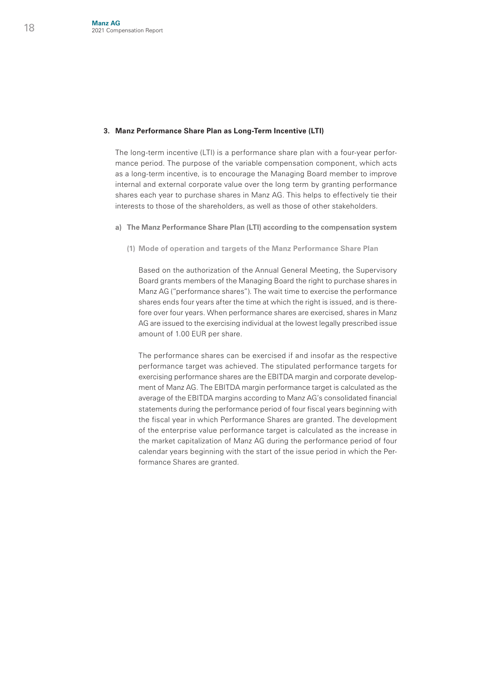#### **3. Manz Performance Share Plan as Long-Term Incentive (LTI)**

The long-term incentive (LTI) is a performance share plan with a four-year performance period. The purpose of the variable compensation component, which acts as a long-term incentive, is to encourage the Managing Board member to improve internal and external corporate value over the long term by granting performance shares each year to purchase shares in Manz AG. This helps to effectively tie their interests to those of the shareholders, as well as those of other stakeholders.

- **a) The Manz Performance Share Plan (LTI) according to the compensation system**
	- **(1) Mode of operation and targets of the Manz Performance Share Plan**

 Based on the authorization of the Annual General Meeting, the Supervisory Board grants members of the Managing Board the right to purchase shares in Manz AG ("performance shares"). The wait time to exercise the performance shares ends four years after the time at which the right is issued, and is therefore over four years. When performance shares are exercised, shares in Manz AG are issued to the exercising individual at the lowest legally prescribed issue amount of 1.00 EUR per share.

 The performance shares can be exercised if and insofar as the respective performance target was achieved. The stipulated performance targets for exercising performance shares are the EBITDA margin and corporate development of Manz AG. The EBITDA margin performance target is calculated as the average of the EBITDA margins according to Manz AG's consolidated financial statements during the performance period of four fiscal years beginning with the fiscal year in which Performance Shares are granted. The development of the enterprise value performance target is calculated as the increase in the market capitalization of Manz AG during the performance period of four calendar years beginning with the start of the issue period in which the Performance Shares are granted.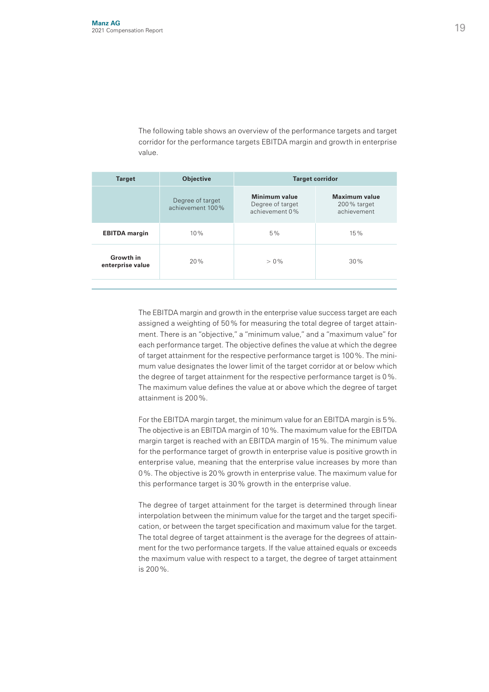The following table shows an overview of the performance targets and target corridor for the performance targets EBITDA margin and growth in enterprise value.

| Minimum value<br><b>Maximum value</b><br>Degree of target<br>Degree of target<br>200% target<br>achievement 100%<br>achievement 0%<br>achievement<br>5%<br>10%<br>15%<br><b>EBITDA</b> margin | <b>Target</b> | <b>Objective</b> | <b>Target corridor</b> |  |  |  |
|-----------------------------------------------------------------------------------------------------------------------------------------------------------------------------------------------|---------------|------------------|------------------------|--|--|--|
|                                                                                                                                                                                               |               |                  |                        |  |  |  |
|                                                                                                                                                                                               |               |                  |                        |  |  |  |
| Growth in<br>20%<br>30%<br>$> 0\%$<br>enterprise value                                                                                                                                        |               |                  |                        |  |  |  |

 The EBITDA margin and growth in the enterprise value success target are each assigned a weighting of 50% for measuring the total degree of target attainment. There is an "objective," a "minimum value," and a "maximum value" for each performance target. The objective defines the value at which the degree of target attainment for the respective performance target is 100%. The minimum value designates the lower limit of the target corridor at or below which the degree of target attainment for the respective performance target is 0%. The maximum value defines the value at or above which the degree of target attainment is 200%.

 For the EBITDA margin target, the minimum value for an EBITDA margin is 5%. The objective is an EBITDA margin of 10%. The maximum value for the EBITDA margin target is reached with an EBITDA margin of 15%. The minimum value for the performance target of growth in enterprise value is positive growth in enterprise value, meaning that the enterprise value increases by more than 0%. The objective is 20% growth in enterprise value. The maximum value for this performance target is 30% growth in the enterprise value.

 The degree of target attainment for the target is determined through linear interpolation between the minimum value for the target and the target specification, or between the target specification and maximum value for the target. The total degree of target attainment is the average for the degrees of attainment for the two performance targets. If the value attained equals or exceeds the maximum value with respect to a target, the degree of target attainment is 200%.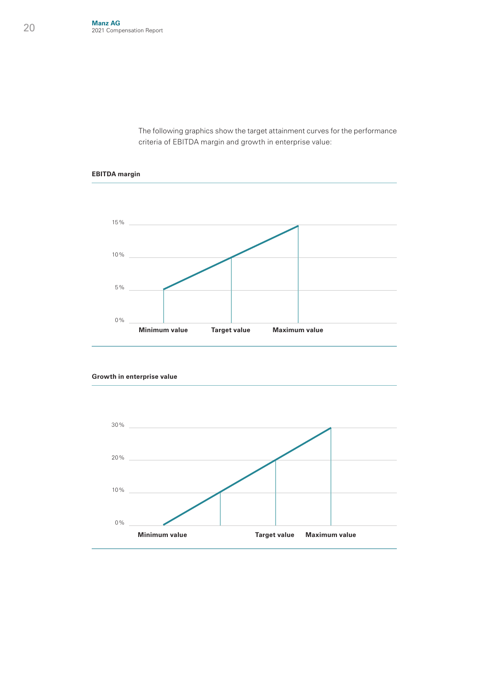The following graphics show the target attainment curves for the performance criteria of EBITDA margin and growth in enterprise value:



**EBITDA margin**



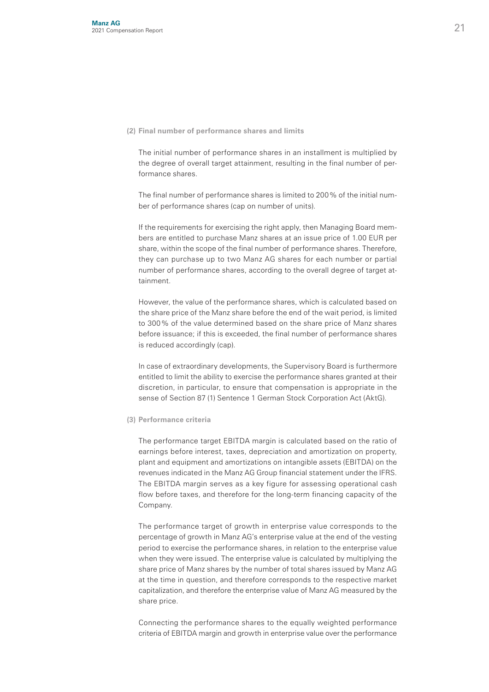#### **(2) Final number of performance shares and limits**

 The initial number of performance shares in an installment is multiplied by the degree of overall target attainment, resulting in the final number of performance shares.

 The final number of performance shares is limited to 200% of the initial number of performance shares (cap on number of units).

 If the requirements for exercising the right apply, then Managing Board members are entitled to purchase Manz shares at an issue price of 1.00 EUR per share, within the scope of the final number of performance shares. Therefore, they can purchase up to two Manz AG shares for each number or partial number of performance shares, according to the overall degree of target attainment.

 However, the value of the performance shares, which is calculated based on the share price of the Manz share before the end of the wait period, is limited to 300% of the value determined based on the share price of Manz shares before issuance; if this is exceeded, the final number of performance shares is reduced accordingly (cap).

 In case of extraordinary developments, the Supervisory Board is furthermore entitled to limit the ability to exercise the performance shares granted at their discretion, in particular, to ensure that compensation is appropriate in the sense of Section 87 (1) Sentence 1 German Stock Corporation Act (AktG).

#### **(3) Performance criteria**

 The performance target EBITDA margin is calculated based on the ratio of earnings before interest, taxes, depreciation and amortization on property, plant and equipment and amortizations on intangible assets (EBITDA) on the revenues indicated in the Manz AG Group financial statement under the IFRS. The EBITDA margin serves as a key figure for assessing operational cash flow before taxes, and therefore for the long-term financing capacity of the Company.

 The performance target of growth in enterprise value corresponds to the percentage of growth in Manz AG's enterprise value at the end of the vesting period to exercise the performance shares, in relation to the enterprise value when they were issued. The enterprise value is calculated by multiplying the share price of Manz shares by the number of total shares issued by Manz AG at the time in question, and therefore corresponds to the respective market capitalization, and therefore the enterprise value of Manz AG measured by the share price.

 Connecting the performance shares to the equally weighted performance criteria of EBITDA margin and growth in enterprise value over the performance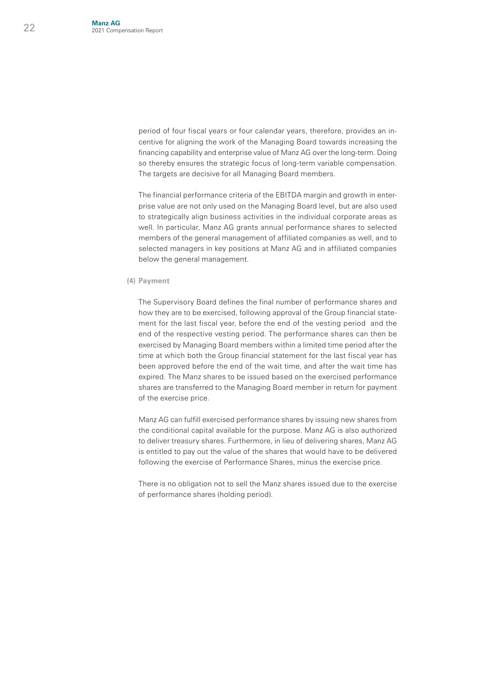period of four fiscal years or four calendar years, therefore, provides an incentive for aligning the work of the Managing Board towards increasing the financing capability and enterprise value of Manz AG over the long-term. Doing so thereby ensures the strategic focus of long-term variable compensation. The targets are decisive for all Managing Board members.

 The financial performance criteria of the EBITDA margin and growth in enterprise value are not only used on the Managing Board level, but are also used to strategically align business activities in the individual corporate areas as well. In particular, Manz AG grants annual performance shares to selected members of the general management of affiliated companies as well, and to selected managers in key positions at Manz AG and in affiliated companies below the general management.

#### **(4) Payment**

 The Supervisory Board defines the final number of performance shares and how they are to be exercised, following approval of the Group financial statement for the last fiscal year, before the end of the vesting period and the end of the respective vesting period. The performance shares can then be exercised by Managing Board members within a limited time period after the time at which both the Group financial statement for the last fiscal year has been approved before the end of the wait time, and after the wait time has expired. The Manz shares to be issued based on the exercised performance shares are transferred to the Managing Board member in return for payment of the exercise price.

 Manz AG can fulfill exercised performance shares by issuing new shares from the conditional capital available for the purpose. Manz AG is also authorized to deliver treasury shares. Furthermore, in lieu of delivering shares, Manz AG is entitled to pay out the value of the shares that would have to be delivered following the exercise of Performance Shares, minus the exercise price.

 There is no obligation not to sell the Manz shares issued due to the exercise of performance shares (holding period).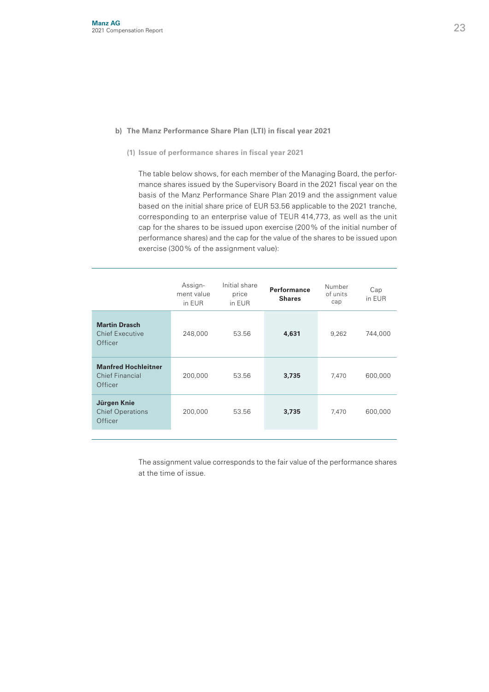#### **b) The Manz Performance Share Plan (LTI) in fiscal year 2021**

 **(1) Issue of performance shares in fiscal year 2021**

 The table below shows, for each member of the Managing Board, the performance shares issued by the Supervisory Board in the 2021 fiscal year on the basis of the Manz Performance Share Plan 2019 and the assignment value based on the initial share price of EUR 53.56 applicable to the 2021 tranche, corresponding to an enterprise value of TEUR 414,773, as well as the unit cap for the shares to be issued upon exercise (200% of the initial number of performance shares) and the cap for the value of the shares to be issued upon exercise (300% of the assignment value):

|                                                                 | Assign-<br>ment value<br>in EUR | Initial share<br>price<br>in EUR | Performance<br><b>Shares</b> | Number<br>of units<br>cap | Cap<br>in EUR |
|-----------------------------------------------------------------|---------------------------------|----------------------------------|------------------------------|---------------------------|---------------|
| <b>Martin Drasch</b><br><b>Chief Executive</b><br>Officer       | 248,000                         | 53.56                            | 4,631                        | 9,262                     | 744,000       |
| <b>Manfred Hochleitner</b><br>Chief Financial<br><b>Officer</b> | 200.000                         | 53.56                            | 3,735                        | 7,470                     | 600,000       |
| Jürgen Knie<br><b>Chief Operations</b><br><b>Officer</b>        | 200.000                         | 53.56                            | 3,735                        | 7,470                     | 600,000       |

 The assignment value corresponds to the fair value of the performance shares at the time of issue.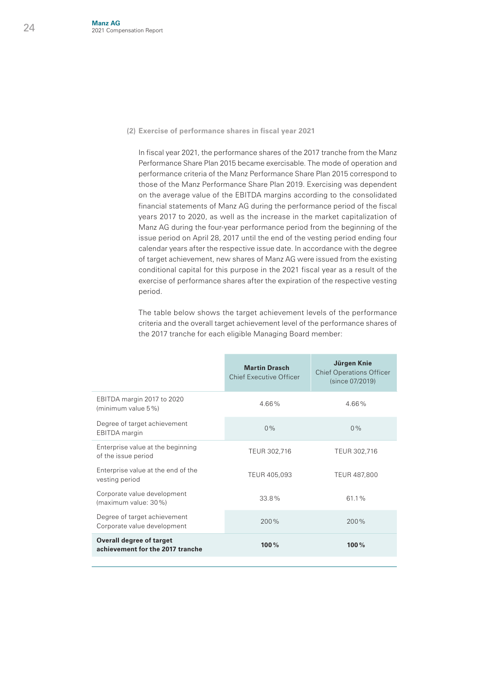Ī

#### **(2) Exercise of performance shares in fiscal year 2021**

 In fiscal year 2021, the performance shares of the 2017 tranche from the Manz Performance Share Plan 2015 became exercisable. The mode of operation and performance criteria of the Manz Performance Share Plan 2015 correspond to those of the Manz Performance Share Plan 2019. Exercising was dependent on the average value of the EBITDA margins according to the consolidated financial statements of Manz AG during the performance period of the fiscal years 2017 to 2020, as well as the increase in the market capitalization of Manz AG during the four-year performance period from the beginning of the issue period on April 28, 2017 until the end of the vesting period ending four calendar years after the respective issue date. In accordance with the degree of target achievement, new shares of Manz AG were issued from the existing conditional capital for this purpose in the 2021 fiscal year as a result of the exercise of performance shares after the expiration of the respective vesting period.

 The table below shows the target achievement levels of the performance criteria and the overall target achievement level of the performance shares of the 2017 tranche for each eligible Managing Board member:

|                                                                     | <b>Martin Drasch</b><br><b>Chief Executive Officer</b> | Jürgen Knie<br><b>Chief Operations Officer</b><br>(since 07/2019) |
|---------------------------------------------------------------------|--------------------------------------------------------|-------------------------------------------------------------------|
| EBITDA margin 2017 to 2020<br>(minimum value 5%)                    | 466%                                                   | 466%                                                              |
| Degree of target achievement<br><b>EBITDA</b> margin                | 0%                                                     | $0\%$                                                             |
| Enterprise value at the beginning<br>of the issue period            | TEUR 302,716                                           | TEUR 302,716                                                      |
| Enterprise value at the end of the<br>vesting period                | TEUR 405,093                                           | TEUR 487,800                                                      |
| Corporate value development<br>(maximum value: 30%)                 | $338\%$                                                | 611%                                                              |
| Degree of target achievement<br>Corporate value development         | 200%                                                   | 200%                                                              |
| <b>Overall degree of target</b><br>achievement for the 2017 tranche | 100%                                                   | 100%                                                              |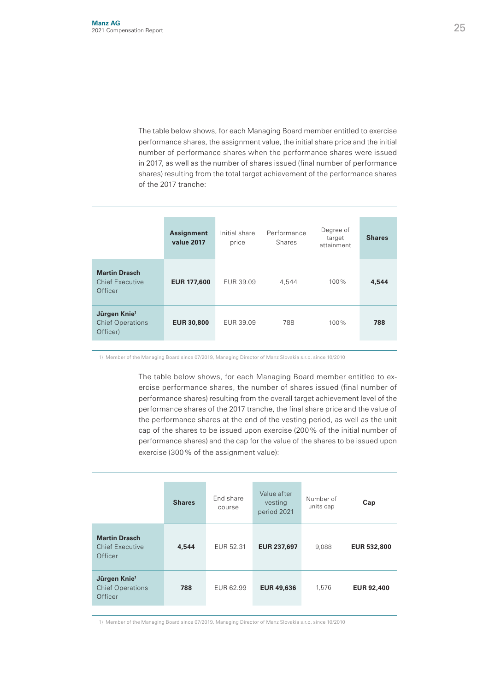The table below shows, for each Managing Board member entitled to exercise performance shares, the assignment value, the initial share price and the initial number of performance shares when the performance shares were issued in 2017, as well as the number of shares issued (final number of performance shares) resulting from the total target achievement of the performance shares of the 2017 tranche:

|                                                                 | <b>Assignment</b><br>value 2017 | Initial share<br>price | Performance<br><b>Shares</b> | Degree of<br>target<br>attainment | <b>Shares</b> |
|-----------------------------------------------------------------|---------------------------------|------------------------|------------------------------|-----------------------------------|---------------|
| <b>Martin Drasch</b><br><b>Chief Executive</b><br>Officer       | <b>EUR 177,600</b>              | EUR 39.09              | 4.544                        | $100\%$                           | 4,544         |
| Jürgen Knie <sup>1</sup><br><b>Chief Operations</b><br>Officer) | <b>EUR 30,800</b>               | EUR 39.09              | 788                          | $100\%$                           | 788           |
|                                                                 |                                 |                        |                              |                                   |               |

1) Member of the Managing Board since 07/2019, Managing Director of Manz Slovakia s.r.o. since 10/2010

 The table below shows, for each Managing Board member entitled to exercise performance shares, the number of shares issued (final number of performance shares) resulting from the overall target achievement level of the performance shares of the 2017 tranche, the final share price and the value of the performance shares at the end of the vesting period, as well as the unit cap of the shares to be issued upon exercise (200% of the initial number of performance shares) and the cap for the value of the shares to be issued upon exercise (300% of the assignment value):

|                                                                | <b>Shares</b> | End share<br>course | Value after<br>vesting<br>period 2021 | Number of<br>units cap | Cap                |
|----------------------------------------------------------------|---------------|---------------------|---------------------------------------|------------------------|--------------------|
| <b>Martin Drasch</b><br><b>Chief Executive</b><br>Officer      | 4,544         | EUR 52.31           | <b>EUR 237,697</b>                    | 9.088                  | <b>EUR 532,800</b> |
| Jürgen Knie <sup>1</sup><br><b>Chief Operations</b><br>Officer | 788           | EUR 62.99           | <b>EUR 49,636</b>                     | 1.576                  | <b>EUR 92,400</b>  |

1) Member of the Managing Board since 07/2019, Managing Director of Manz Slovakia s.r.o. since 10/2010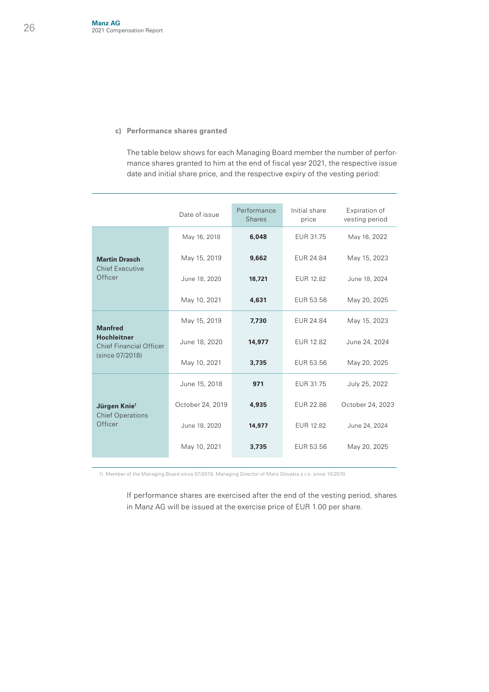#### **c) Performance shares granted**

The table below shows for each Managing Board member the number of performance shares granted to him at the end of fiscal year 2021, the respective issue date and initial share price, and the respective expiry of the vesting period:

|                                                      | Date of issue    | Performance<br><b>Shares</b> | Initial share<br>price | Expiration of<br>vesting period |
|------------------------------------------------------|------------------|------------------------------|------------------------|---------------------------------|
|                                                      | May 16, 2018     | 6,048                        | EUR 31.75              | May 16, 2022                    |
| <b>Martin Drasch</b>                                 | May 15, 2019     | 9,662                        | EUR 24.84              | May 15, 2023                    |
| <b>Chief Executive</b><br>Officer                    | June 18, 2020    | 18,721                       | EUR 12.82              | June 18, 2024                   |
|                                                      | May 10, 2021     | 4,631                        | EUR 53.56              | May 20, 2025                    |
| <b>Manfred</b>                                       | May 15, 2019     | 7,730                        | <b>EUR 24.84</b>       | May 15, 2023                    |
| <b>Hochleitner</b><br><b>Chief Financial Officer</b> | June 18, 2020    | 14,977                       | <b>EUR 12.82</b>       | June 24, 2024                   |
| (since 07/2018)                                      | May 10, 2021     | 3,735                        | EUR 53.56              | May 20, 2025                    |
|                                                      | June 15, 2018    | 971                          | EUR 31.75              | July 25, 2022                   |
| Jürgen Knie <sup>1</sup>                             | October 24, 2019 | 4,935                        | <b>EUR 22.86</b>       | October 24, 2023                |
| <b>Chief Operations</b><br>Officer                   | June 18, 2020    | 14,977                       | EUR 12.82              | June 24, 2024                   |
|                                                      | May 10, 2021     | 3,735                        | EUR 53.56              | May 20, 2025                    |

1) Member of the Managing Board since 07/2019, Managing Director of Manz Slovakia s.r.o. since 10/2010

If performance shares are exercised after the end of the vesting period, shares in Manz AG will be issued at the exercise price of EUR 1.00 per share.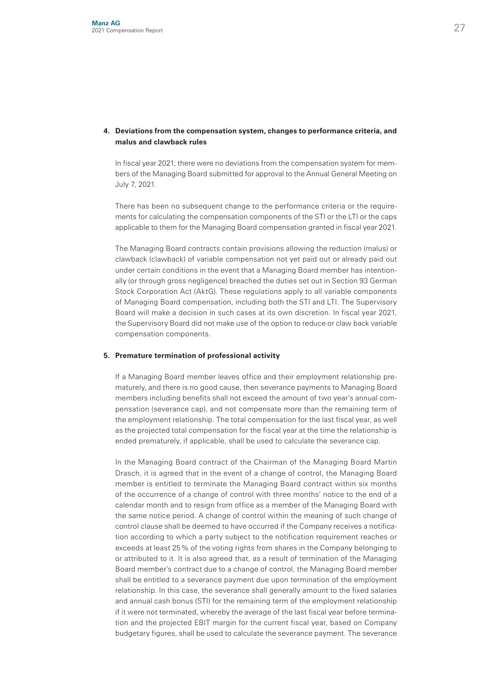#### **4. Deviations from the compensation system, changes to performance criteria, and malus and clawback rules**

In fiscal year 2021, there were no deviations from the compensation system for members of the Managing Board submitted for approval to the Annual General Meeting on July 7, 2021.

 There has been no subsequent change to the performance criteria or the requirements for calculating the compensation components of the STI or the LTI or the caps applicable to them for the Managing Board compensation granted in fiscal year 2021.

 The Managing Board contracts contain provisions allowing the reduction (malus) or clawback (clawback) of variable compensation not yet paid out or already paid out under certain conditions in the event that a Managing Board member has intentionally (or through gross negligence) breached the duties set out in Section 93 German Stock Corporation Act (AktG). These regulations apply to all variable components of Managing Board compensation, including both the STI and LTI. The Supervisory Board will make a decision in such cases at its own discretion. In fiscal year 2021, the Supervisory Board did not make use of the option to reduce or claw back variable compensation components.

#### **5. Premature termination of professional activity**

If a Managing Board member leaves office and their employment relationship prematurely, and there is no good cause, then severance payments to Managing Board members including benefits shall not exceed the amount of two year's annual compensation (severance cap), and not compensate more than the remaining term of the employment relationship. The total compensation for the last fiscal year, as well as the projected total compensation for the fiscal year at the time the relationship is ended prematurely, if applicable, shall be used to calculate the severance cap.

 In the Managing Board contract of the Chairman of the Managing Board Martin Drasch, it is agreed that in the event of a change of control, the Managing Board member is entitled to terminate the Managing Board contract within six months of the occurrence of a change of control with three months' notice to the end of a calendar month and to resign from office as a member of the Managing Board with the same notice period. A change of control within the meaning of such change of control clause shall be deemed to have occurred if the Company receives a notification according to which a party subject to the notification requirement reaches or exceeds at least 25% of the voting rights from shares in the Company belonging to or attributed to it. It is also agreed that, as a result of termination of the Managing Board member's contract due to a change of control, the Managing Board member shall be entitled to a severance payment due upon termination of the employment relationship. In this case, the severance shall generally amount to the fixed salaries and annual cash bonus (STI) for the remaining term of the employment relationship if it were not terminated, whereby the average of the last fiscal year before termination and the projected EBIT margin for the current fiscal year, based on Company budgetary figures, shall be used to calculate the severance payment. The severance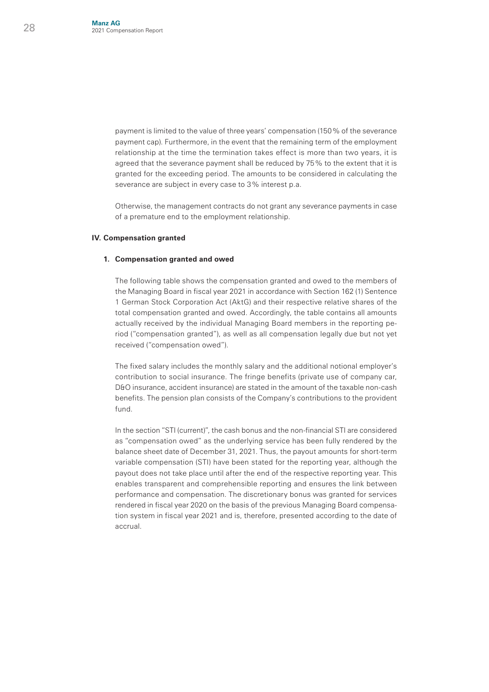payment is limited to the value of three years' compensation (150% of the severance payment cap). Furthermore, in the event that the remaining term of the employment relationship at the time the termination takes effect is more than two years, it is agreed that the severance payment shall be reduced by 75% to the extent that it is granted for the exceeding period. The amounts to be considered in calculating the severance are subject in every case to 3% interest p.a.

 Otherwise, the management contracts do not grant any severance payments in case of a premature end to the employment relationship.

#### **IV. Compensation granted**

#### **1. Compensation granted and owed**

 The following table shows the compensation granted and owed to the members of the Managing Board in fiscal year 2021 in accordance with Section 162 (1) Sentence 1 German Stock Corporation Act (AktG) and their respective relative shares of the total compensation granted and owed. Accordingly, the table contains all amounts actually received by the individual Managing Board members in the reporting period ("compensation granted"), as well as all compensation legally due but not yet received ("compensation owed").

 The fixed salary includes the monthly salary and the additional notional employer's contribution to social insurance. The fringe benefits (private use of company car, D&O insurance, accident insurance) are stated in the amount of the taxable non-cash benefits. The pension plan consists of the Company's contributions to the provident fund.

 In the section "STI (current)", the cash bonus and the non-financial STI are considered as "compensation owed" as the underlying service has been fully rendered by the balance sheet date of December 31, 2021. Thus, the payout amounts for short-term variable compensation (STI) have been stated for the reporting year, although the payout does not take place until after the end of the respective reporting year. This enables transparent and comprehensible reporting and ensures the link between performance and compensation. The discretionary bonus was granted for services rendered in fiscal year 2020 on the basis of the previous Managing Board compensation system in fiscal year 2021 and is, therefore, presented according to the date of accrual.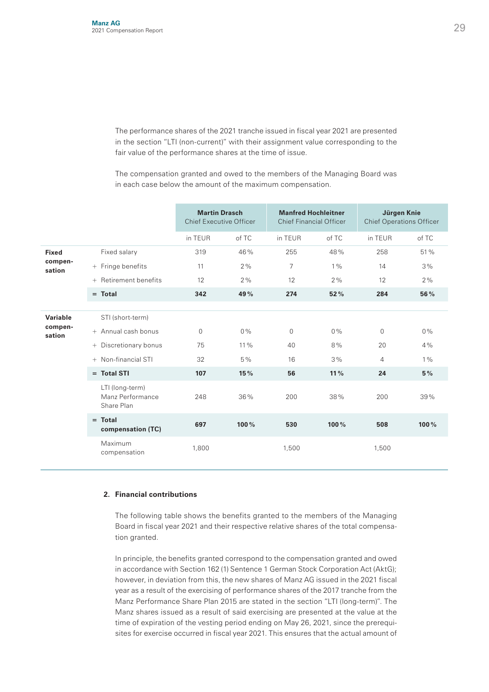The performance shares of the 2021 tranche issued in fiscal year 2021 are presented in the section "LTI (non-current)" with their assignment value corresponding to the fair value of the performance shares at the time of issue.

 The compensation granted and owed to the members of the Managing Board was in each case below the amount of the maximum compensation.

|                                   |     | <b>Martin Drasch</b><br><b>Chief Executive Officer</b> |          | <b>Manfred Hochleitner</b><br><b>Chief Financial Officer</b> |                |       | Jürgen Knie<br><b>Chief Operations Officer</b> |       |
|-----------------------------------|-----|--------------------------------------------------------|----------|--------------------------------------------------------------|----------------|-------|------------------------------------------------|-------|
|                                   |     |                                                        | in TEUR  | of TC                                                        | in TEUR        | of TC | in TEUR                                        | of TC |
| <b>Fixed</b><br>compen-<br>sation |     | Fixed salary                                           | 319      | 46%                                                          | 255            | 48%   | 258                                            | 51%   |
|                                   |     | + Fringe benefits                                      | 11       | 2%                                                           | $\overline{7}$ | $1\%$ | 14                                             | 3%    |
|                                   |     | + Retirement benefits                                  | 12       | 2%                                                           | 12             | 2%    | 12                                             | 2%    |
|                                   |     | $=$ Total                                              | 342      | 49%                                                          | 274            | 52%   | 284                                            | 56%   |
|                                   |     |                                                        |          |                                                              |                |       |                                                |       |
| Variable<br>compen-<br>sation     |     | STI (short-term)                                       |          |                                                              |                |       |                                                |       |
|                                   |     | + Annual cash bonus                                    | $\Omega$ | $0\%$                                                        | $\Omega$       | $0\%$ | $\Omega$                                       | $0\%$ |
|                                   | $+$ | Discretionary bonus                                    | 75       | $11\%$                                                       | 40             | 8%    | 20                                             | 4%    |
|                                   |     | + Non-financial STI                                    | 32       | 5%                                                           | 16             | 3%    | 4                                              | $1\%$ |
|                                   |     | $=$ Total STI                                          | 107      | 15%                                                          | 56             | 11%   | 24                                             | 5%    |
|                                   |     | LTI (long-term)<br>Manz Performance<br>Share Plan      | 248      | 36%                                                          | 200            | 38%   | 200                                            | 39%   |
|                                   |     | $=$ Total<br>compensation (TC)                         | 697      | 100%                                                         | 530            | 100%  | 508                                            | 100%  |
|                                   |     | Maximum<br>compensation                                | 1,800    |                                                              | 1,500          |       | 1,500                                          |       |

#### **2. Financial contributions**

 The following table shows the benefits granted to the members of the Managing Board in fiscal year 2021 and their respective relative shares of the total compensation granted.

 In principle, the benefits granted correspond to the compensation granted and owed in accordance with Section 162 (1) Sentence 1 German Stock Corporation Act (AktG); however, in deviation from this, the new shares of Manz AG issued in the 2021 fiscal year as a result of the exercising of performance shares of the 2017 tranche from the Manz Performance Share Plan 2015 are stated in the section "LTI (long-term)". The Manz shares issued as a result of said exercising are presented at the value at the time of expiration of the vesting period ending on May 26, 2021, since the prerequisites for exercise occurred in fiscal year 2021. This ensures that the actual amount of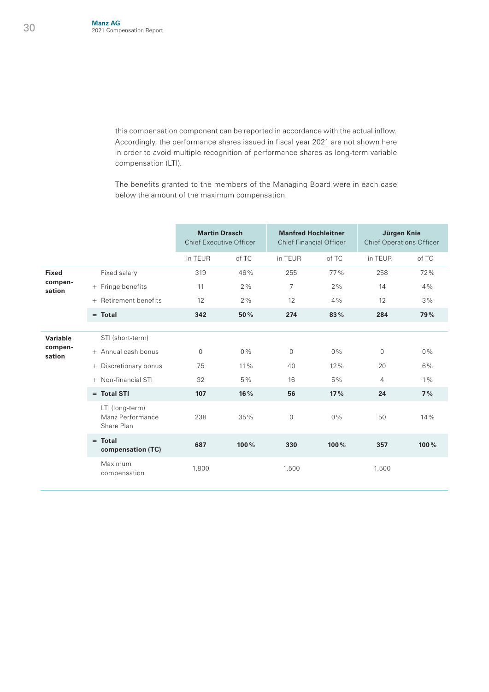this compensation component can be reported in accordance with the actual inflow. Accordingly, the performance shares issued in fiscal year 2021 are not shown here in order to avoid multiple recognition of performance shares as long-term variable compensation (LTI).

 The benefits granted to the members of the Managing Board were in each case below the amount of the maximum compensation.

|                                   |  | <b>Martin Drasch</b><br><b>Chief Executive Officer</b> |          | <b>Manfred Hochleitner</b><br><b>Chief Financial Officer</b> |                |       | Jürgen Knie<br><b>Chief Operations Officer</b> |            |
|-----------------------------------|--|--------------------------------------------------------|----------|--------------------------------------------------------------|----------------|-------|------------------------------------------------|------------|
|                                   |  |                                                        | in TEUR  | of TC                                                        | in TEUR        | of TC | in TEUR                                        | of TC      |
| <b>Fixed</b><br>compen-<br>sation |  | Fixed salary                                           | 319      | 46%                                                          | 255            | 77%   | 258                                            | 72%        |
|                                   |  | + Fringe benefits                                      | 11       | 2%                                                           | $\overline{7}$ | 2%    | 14                                             | 4%         |
|                                   |  | + Retirement benefits                                  | 12       | 2%                                                           | 12             | 4%    | 12                                             | 3%         |
|                                   |  | $=$ Total                                              | 342      | 50%                                                          | 274            | 83%   | 284                                            | <b>79%</b> |
|                                   |  |                                                        |          |                                                              |                |       |                                                |            |
| Variable<br>compen-<br>sation     |  | STI (short-term)                                       |          |                                                              |                |       |                                                |            |
|                                   |  | + Annual cash bonus                                    | $\Omega$ | $0\%$                                                        | $\Omega$       | $0\%$ | $\Omega$                                       | $0\%$      |
|                                   |  | + Discretionary bonus                                  | 75       | $11\%$                                                       | 40             | 12%   | 20                                             | 6%         |
|                                   |  | + Non-financial STI                                    | 32       | $5\%$                                                        | 16             | 5%    | 4                                              | $1\%$      |
|                                   |  | $=$ Total STI                                          | 107      | 16%                                                          | 56             | 17%   | 24                                             | 7%         |
|                                   |  | LTI (long-term)<br>Manz Performance<br>Share Plan      | 238      | 35%                                                          | $\mathbf 0$    | $0\%$ | 50                                             | 14%        |
|                                   |  | $=$ Total<br>compensation (TC)                         | 687      | 100%                                                         | 330            | 100%  | 357                                            | 100%       |
|                                   |  | Maximum<br>compensation                                | 1.800    |                                                              | 1.500          |       | 1.500                                          |            |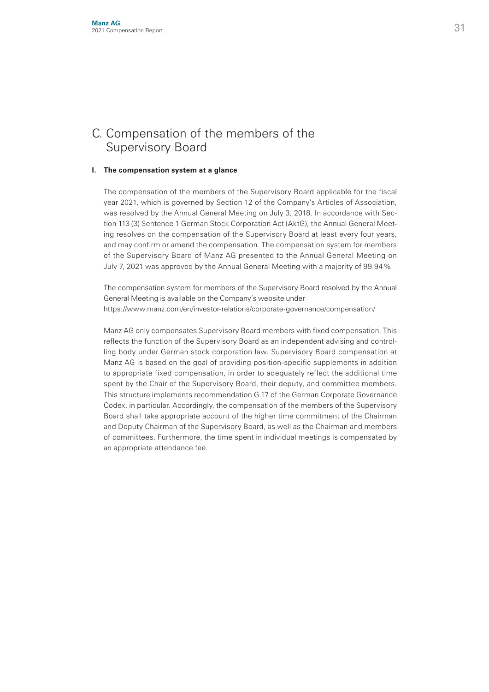## C. Compensation of the members of the Supervisory Board

#### **I. The compensation system at a glance**

 The compensation of the members of the Supervisory Board applicable for the fiscal year 2021, which is governed by Section 12 of the Company's Articles of Association, was resolved by the Annual General Meeting on July 3, 2018. In accordance with Section 113 (3) Sentence 1 German Stock Corporation Act (AktG), the Annual General Meeting resolves on the compensation of the Supervisory Board at least every four years, and may confirm or amend the compensation. The compensation system for members of the Supervisory Board of Manz AG presented to the Annual General Meeting on July 7, 2021 was approved by the Annual General Meeting with a majority of 99.94%.

 The compensation system for members of the Supervisory Board resolved by the Annual General Meeting is available on the Company's website under https://www.manz.com/en/investor-relations/corporate-governance/compensation/

 Manz AG only compensates Supervisory Board members with fixed compensation. This reflects the function of the Supervisory Board as an independent advising and controlling body under German stock corporation law. Supervisory Board compensation at Manz AG is based on the goal of providing position-specific supplements in addition to appropriate fixed compensation, in order to adequately reflect the additional time spent by the Chair of the Supervisory Board, their deputy, and committee members. This structure implements recommendation G.17 of the German Corporate Governance Codex, in particular. Accordingly, the compensation of the members of the Supervisory Board shall take appropriate account of the higher time commitment of the Chairman and Deputy Chairman of the Supervisory Board, as well as the Chairman and members of committees. Furthermore, the time spent in individual meetings is compensated by an appropriate attendance fee.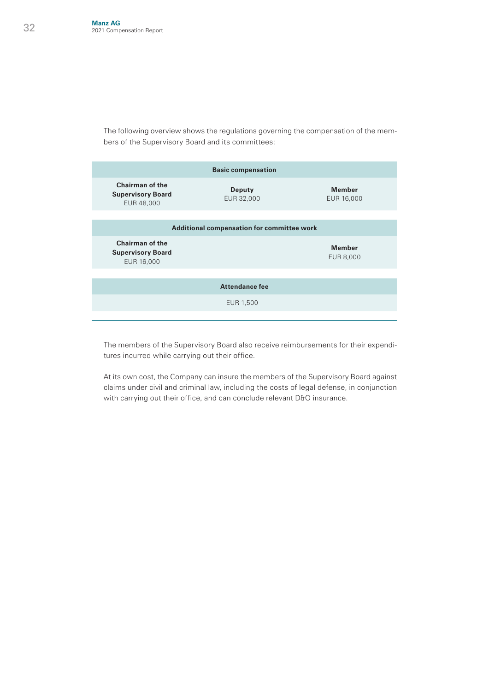The following overview shows the regulations governing the compensation of the members of the Supervisory Board and its committees:

| <b>Basic compensation</b>                                        |                      |                             |  |  |  |  |
|------------------------------------------------------------------|----------------------|-----------------------------|--|--|--|--|
| Chairman of the<br><b>Supervisory Board</b><br>EUR 48,000        | Deputy<br>EUR 32,000 | <b>Member</b><br>EUR 16,000 |  |  |  |  |
|                                                                  |                      |                             |  |  |  |  |
| Additional compensation for committee work                       |                      |                             |  |  |  |  |
| <b>Chairman of the</b><br><b>Supervisory Board</b><br>EUR 16,000 |                      | <b>Member</b><br>EUR 8,000  |  |  |  |  |
|                                                                  |                      |                             |  |  |  |  |
| <b>Attendance fee</b>                                            |                      |                             |  |  |  |  |
|                                                                  |                      |                             |  |  |  |  |
|                                                                  | EUR 1,500            |                             |  |  |  |  |

 The members of the Supervisory Board also receive reimbursements for their expenditures incurred while carrying out their office.

 At its own cost, the Company can insure the members of the Supervisory Board against claims under civil and criminal law, including the costs of legal defense, in conjunction with carrying out their office, and can conclude relevant D&O insurance.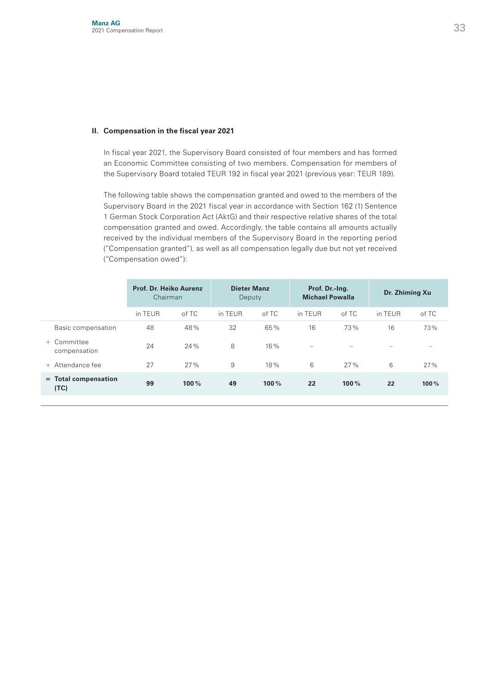#### **II. Compensation in the fiscal year 2021**

 In fiscal year 2021, the Supervisory Board consisted of four members and has formed an Economic Committee consisting of two members. Compensation for members of the Supervisory Board totaled TEUR 192 in fiscal year 2021 (previous year: TEUR 189).

 The following table shows the compensation granted and owed to the members of the Supervisory Board in the 2021 fiscal year in accordance with Section 162 (1) Sentence 1 German Stock Corporation Act (AktG) and their respective relative shares of the total compensation granted and owed. Accordingly, the table contains all amounts actually received by the individual members of the Supervisory Board in the reporting period ("Compensation granted"), as well as all compensation legally due but not yet received ("Compensation owed"):

|                                | Prof. Dr. Heiko Aurenz<br>Chairman |       | <b>Dieter Manz</b><br>Deputy |       | Prof. Dr.-Ing.<br><b>Michael Powalla</b> |       | Dr. Zhiming Xu    |                          |
|--------------------------------|------------------------------------|-------|------------------------------|-------|------------------------------------------|-------|-------------------|--------------------------|
|                                | in TEUR                            | of TC | in TFUR                      | of TC | in TEUR                                  | of TC | in TEUR           | of TC                    |
| Basic compensation             | 48                                 | 48%   | 32                           | 65%   | 16                                       | 73%   | 16                | 73%                      |
| + Committee<br>compensation    | 24                                 | 24%   | 8                            | 16%   | $\overline{\phantom{a}}$                 |       | $\hspace{0.05cm}$ | $\overline{\phantom{a}}$ |
| + Attendance fee               | 27                                 | 27%   | 9                            | 18%   | 6                                        | 27%   | 6                 | 27%                      |
| $=$ Total compensation<br>(TC) | 99                                 | 100%  | 49                           | 100%  | 22                                       | 100%  | 22                | 100%                     |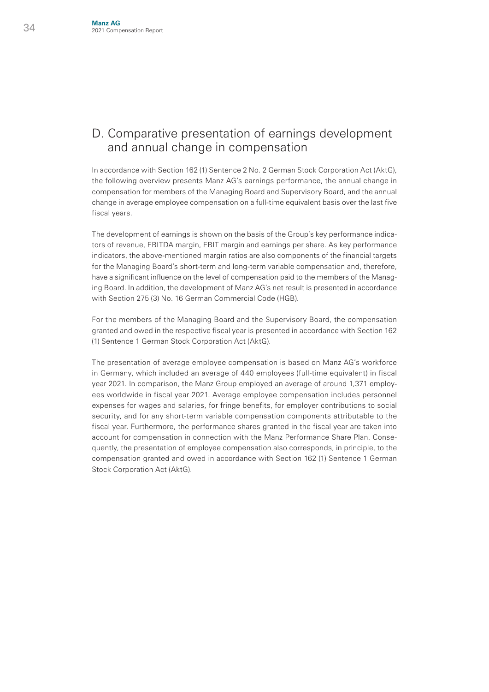## D. Comparative presentation of earnings development and annual change in compensation

In accordance with Section 162 (1) Sentence 2 No. 2 German Stock Corporation Act (AktG), the following overview presents Manz AG's earnings performance, the annual change in compensation for members of the Managing Board and Supervisory Board, and the annual change in average employee compensation on a full-time equivalent basis over the last five fiscal years.

The development of earnings is shown on the basis of the Group's key performance indicators of revenue, EBITDA margin, EBIT margin and earnings per share. As key performance indicators, the above-mentioned margin ratios are also components of the financial targets for the Managing Board's short-term and long-term variable compensation and, therefore, have a significant influence on the level of compensation paid to the members of the Managing Board. In addition, the development of Manz AG's net result is presented in accordance with Section 275 (3) No. 16 German Commercial Code (HGB).

For the members of the Managing Board and the Supervisory Board, the compensation granted and owed in the respective fiscal year is presented in accordance with Section 162 (1) Sentence 1 German Stock Corporation Act (AktG).

The presentation of average employee compensation is based on Manz AG's workforce in Germany, which included an average of 440 employees (full-time equivalent) in fiscal year 2021. In comparison, the Manz Group employed an average of around 1,371 employees worldwide in fiscal year 2021. Average employee compensation includes personnel expenses for wages and salaries, for fringe benefits, for employer contributions to social security, and for any short-term variable compensation components attributable to the fiscal year. Furthermore, the performance shares granted in the fiscal year are taken into account for compensation in connection with the Manz Performance Share Plan. Consequently, the presentation of employee compensation also corresponds, in principle, to the compensation granted and owed in accordance with Section 162 (1) Sentence 1 German Stock Corporation Act (AktG).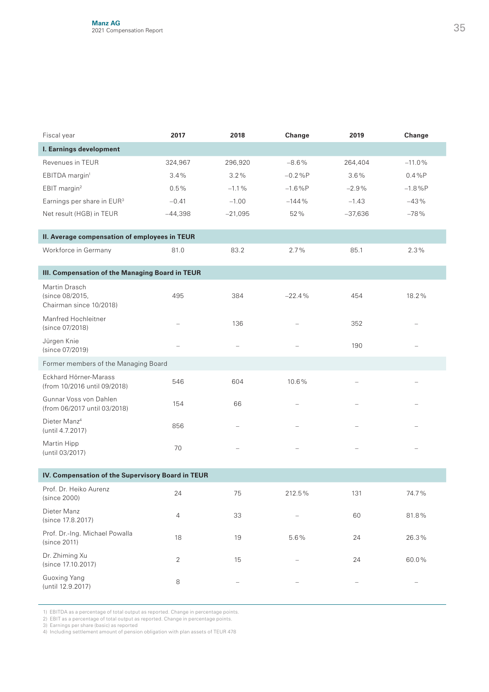| Fiscal year                                                 | 2017      | 2018      | Change    | 2019      | Change   |  |  |  |
|-------------------------------------------------------------|-----------|-----------|-----------|-----------|----------|--|--|--|
| I. Earnings development                                     |           |           |           |           |          |  |  |  |
| Revenues in TEUR                                            | 324,967   | 296,920   | $-8.6%$   | 264,404   | $-11.0%$ |  |  |  |
| EBITDA margin <sup>1</sup>                                  | 3.4%      | 3.2%      | $-0.2%P$  | 3.6%      | 0.4%P    |  |  |  |
| EBIT margin <sup>2</sup>                                    | 0.5%      | $-1.1%$   | $-1.6\%P$ | $-2.9%$   | $-1.8%P$ |  |  |  |
| Earnings per share in EUR <sup>3</sup>                      | $-0.41$   | $-1.00$   | $-144%$   | $-1.43$   | $-43%$   |  |  |  |
| Net result (HGB) in TEUR                                    | $-44,398$ | $-21,095$ | 52%       | $-37,636$ | $-78%$   |  |  |  |
| II. Average compensation of employees in TEUR               |           |           |           |           |          |  |  |  |
| Workforce in Germany                                        | 81.0      | 83.2      | 2.7%      | 85.1      | 2.3%     |  |  |  |
| III. Compensation of the Managing Board in TEUR             |           |           |           |           |          |  |  |  |
| Martin Drasch<br>(since 08/2015,<br>Chairman since 10/2018) | 495       | 384       | $-22.4%$  | 454       | 18.2%    |  |  |  |
| Manfred Hochleitner<br>(since 07/2018)                      |           | 136       |           | 352       |          |  |  |  |
| Jürgen Knie<br>(since 07/2019)                              |           |           |           | 190       |          |  |  |  |
| Former members of the Managing Board                        |           |           |           |           |          |  |  |  |
| Eckhard Hörner-Marass<br>(from 10/2016 until 09/2018)       | 546       | 604       | 10.6%     |           |          |  |  |  |
| Gunnar Voss von Dahlen<br>(from 06/2017 until 03/2018)      | 154       | 66        |           |           |          |  |  |  |
| Dieter Manz <sup>4</sup><br>(until 4.7.2017)                | 856       |           |           |           |          |  |  |  |
| Martin Hipp<br>(until 03/2017)                              | 70        |           |           |           |          |  |  |  |
| IV. Compensation of the Supervisory Board in TEUR           |           |           |           |           |          |  |  |  |
| Prof. Dr. Heiko Aurenz<br>(since 2000)                      | 24        | 75        | 212.5%    | 131       | 74.7%    |  |  |  |
| Dieter Manz<br>(since 17.8.2017)                            | 4         | 33        |           | 60        | 81.8%    |  |  |  |
| Prof. Dr.-Ing. Michael Powalla<br>(since 2011)              | 18        | 19        | 5.6%      | 24        | 26.3%    |  |  |  |
| Dr. Zhiming Xu<br>(since 17.10.2017)                        | 2         | 15        |           | 24        | 60.0%    |  |  |  |
| <b>Guoxing Yang</b><br>(until 12.9.2017)                    | 8         |           |           |           |          |  |  |  |

1) EBITDA as a percentage of total output as reported. Change in percentage points.<br>2) EBIT as a percentage of total output as reported. Change in percentage points.<br>3) Earnings per share (basic) as reported<br>4) Including s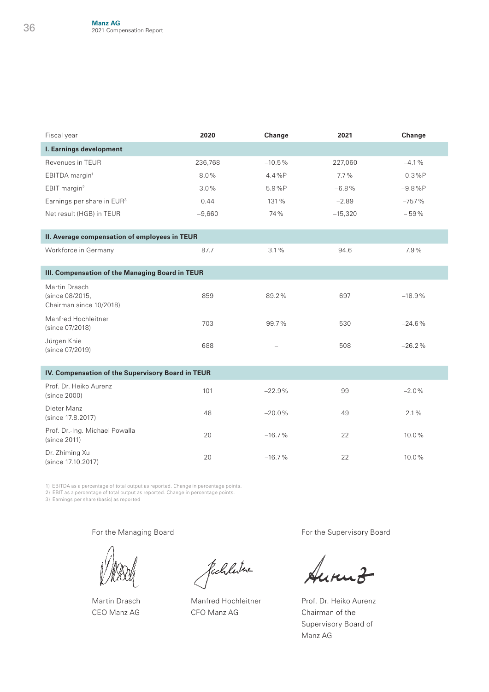| Fiscal year                                                 | 2020     | Change   | 2021      | Change   |
|-------------------------------------------------------------|----------|----------|-----------|----------|
| I. Earnings development                                     |          |          |           |          |
| Revenues in TEUR                                            | 236,768  | $-10.5%$ | 227,060   | $-4.1%$  |
| EBITDA margin <sup>1</sup>                                  | 8.0%     | 4.4%P    | $7.7\%$   | $-0.3%P$ |
| EBIT margin <sup>2</sup>                                    | 3.0%     | 5.9%P    | $-6.8%$   | $-9.8%P$ |
| Earnings per share in EUR <sup>3</sup>                      | 0.44     | 131%     | $-2.89$   | $-757%$  |
| Net result (HGB) in TEUR                                    | $-9,660$ | 74%      | $-15,320$ | $-59%$   |
| II. Average compensation of employees in TEUR               |          |          |           |          |
| Workforce in Germany                                        | 87.7     | 3.1%     | 94.6      | 7.9%     |
| III. Compensation of the Managing Board in TEUR             |          |          |           |          |
| Martin Drasch<br>(since 08/2015,<br>Chairman since 10/2018) | 859      | 89.2%    | 697       | $-18.9%$ |
| Manfred Hochleitner<br>(since 07/2018)                      | 703      | 99.7%    | 530       | $-24.6%$ |
| Jürgen Knie<br>(since 07/2019)                              | 688      |          | 508       | $-26.2%$ |
| IV. Compensation of the Supervisory Board in TEUR           |          |          |           |          |
| Prof. Dr. Heiko Aurenz<br>(since 2000)                      | 101      | $-22.9%$ | 99        | $-2.0%$  |
| Dieter Manz<br>(since 17.8.2017)                            | 48       | $-20.0%$ | 49        | 2.1%     |
| Prof. Dr.-Ing. Michael Powalla<br>(since 2011)              | 20       | $-16.7%$ | 22        | 10.0%    |
| Dr. Zhiming Xu<br>(since 17.10.2017)                        | 20       | $-16.7%$ | 22        | 10.0%    |

1) EBITDA as a percentage of total output as reported. Change in percentage points.

2) EBIT as a percentage of total output as reported. Change in percentage points. 3) Earnings per share (basic) as reported

For the Managing Board

Martin Drasch CEO Manz AG

fachleitre

Manfred Hochleitner CFO Manz AG

For the Supervisory Board

Prof. Dr. Heiko Aurenz Chairman of the Supervisory Board of Manz AG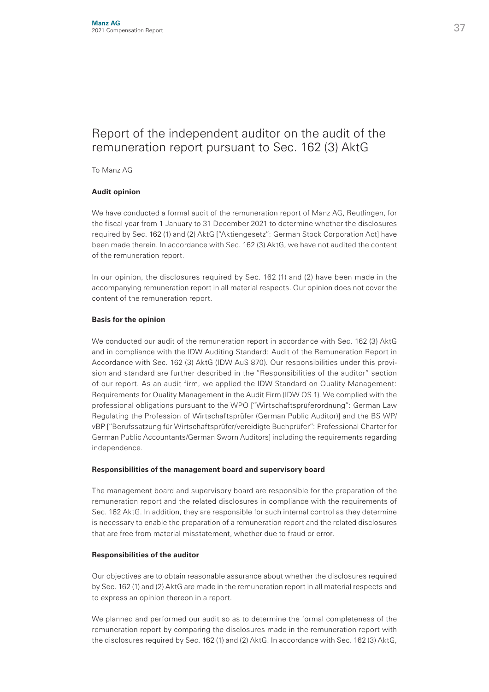## Report of the independent auditor on the audit of the remuneration report pursuant to Sec. 162 (3) AktG

To Manz AG

#### **Audit opinion**

We have conducted a formal audit of the remuneration report of Manz AG, Reutlingen, for the fiscal year from 1 January to 31 December 2021 to determine whether the disclosures required by Sec. 162 (1) and (2) AktG ["Aktiengesetz": German Stock Corporation Act] have been made therein. In accordance with Sec. 162 (3) AktG, we have not audited the content of the remuneration report.

In our opinion, the disclosures required by Sec. 162 (1) and (2) have been made in the accompanying remuneration report in all material respects. Our opinion does not cover the content of the remuneration report.

#### **Basis for the opinion**

We conducted our audit of the remuneration report in accordance with Sec. 162 (3) AktG and in compliance with the IDW Auditing Standard: Audit of the Remuneration Report in Accordance with Sec. 162 (3) AktG (IDW AuS 870). Our responsibilities under this provision and standard are further described in the "Responsibilities of the auditor" section of our report. As an audit firm, we applied the IDW Standard on Quality Management: Requirements for Quality Management in the Audit Firm (IDW QS 1). We complied with the professional obligations pursuant to the WPO ["Wirtschaftsprüferordnung": German Law Regulating the Profession of Wirtschaftsprüfer (German Public Auditor)] and the BS WP/ vBP ["Berufssatzung für Wirtschaftsprüfer/vereidigte Buchprüfer": Professional Charter for German Public Accountants/German Sworn Auditors] including the requirements regarding independence.

#### **Responsibilities of the management board and supervisory board**

The management board and supervisory board are responsible for the preparation of the remuneration report and the related disclosures in compliance with the requirements of Sec. 162 AktG. In addition, they are responsible for such internal control as they determine is necessary to enable the preparation of a remuneration report and the related disclosures that are free from material misstatement, whether due to fraud or error.

#### **Responsibilities of the auditor**

Our objectives are to obtain reasonable assurance about whether the disclosures required by Sec. 162 (1) and (2) AktG are made in the remuneration report in all material respects and to express an opinion thereon in a report.

We planned and performed our audit so as to determine the formal completeness of the remuneration report by comparing the disclosures made in the remuneration report with the disclosures required by Sec. 162 (1) and (2) AktG. In accordance with Sec. 162 (3) AktG,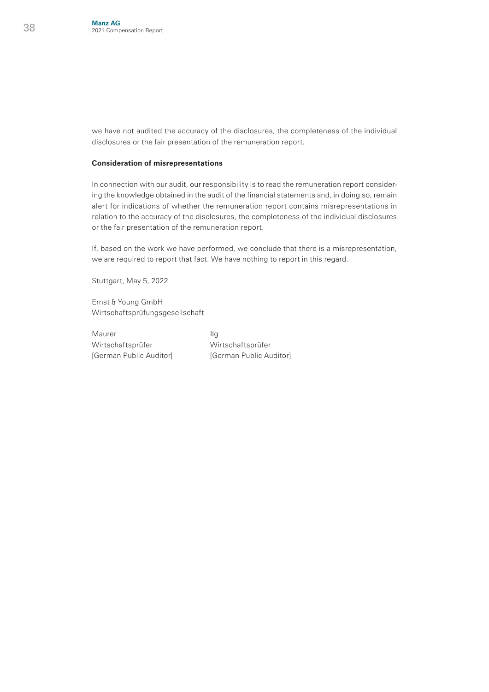we have not audited the accuracy of the disclosures, the completeness of the individual disclosures or the fair presentation of the remuneration report.

#### **Consideration of misrepresentations**

In connection with our audit, our responsibility is to read the remuneration report considering the knowledge obtained in the audit of the financial statements and, in doing so, remain alert for indications of whether the remuneration report contains misrepresentations in relation to the accuracy of the disclosures, the completeness of the individual disclosures or the fair presentation of the remuneration report.

If, based on the work we have performed, we conclude that there is a misrepresentation, we are required to report that fact. We have nothing to report in this regard.

Stuttgart, May 5, 2022

Ernst & Young GmbH Wirtschaftsprüfungsgesellschaft

Maurer IIg Wirtschaftsprüfer Wirtschaftsprüfer

[German Public Auditor] [German Public Auditor]